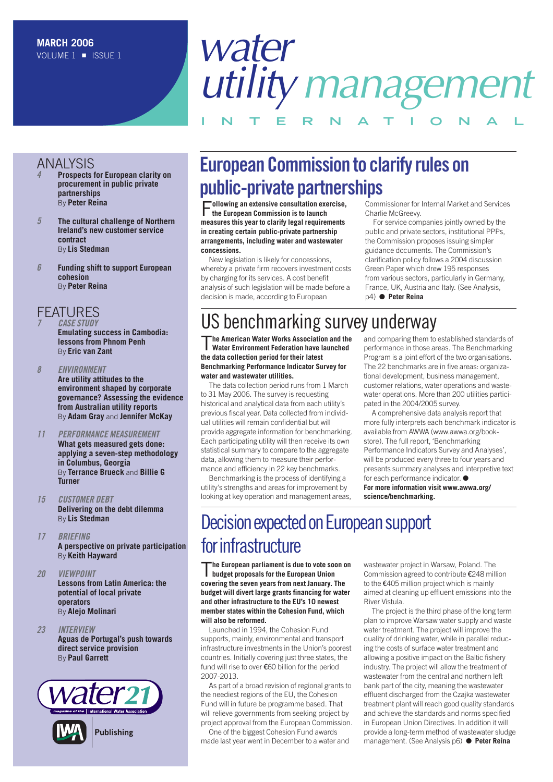# *water utilitymanagement* **INTERNAT IONAL**

#### ANALYSIS

- *4* **Prospects for European clarity on procurement in public private partnerships** By **Peter Reina**
- *5* **The cultural challenge of Northern Ireland's new customer service contract** By **Lis Stedman**
- *6* **Funding shift to support European cohesion** By **Peter Reina**

#### **FFATURES**

- *7 CASE STUDY* **Emulating success in Cambodia: lessons from Phnom Penh** By **Eric van Zant**
- *8 ENVIRONMENT* **Are utility attitudes to the environment shaped by corporate governance? Assessing the evidence from Australian utility reports** By **Adam Gray** and **Jennifer McKay**
- *11 PERFORMANCE MEASUREMENT* **What gets measured gets done: applying a seven-step methodology in Columbus, Georgia** By **Terrance Brueck** and **Billie G Turner**
- *15 CUSTOMER DEBT* **Delivering on the debt dilemma** By **Lis Stedman**
- *17 BRIEFING* **A perspective on private participation** By **Keith Hayward**
- *20 VIEWPOINT* **Lessons from Latin America: the potential of local private operators** By **Alejo Molinari**
- *23 INTERVIEW* **Aguas de Portugal's push towards direct service provision** By **Paul Garrett**



## **European Commission to clarify rules on public-private partnerships**

F**ollowing an extensive consultation exercise, the European Commission is to launch measures this year to clarify legal requirements in creating certain public-private partnership arrangements, including water and wastewater concessions.**

New legislation is likely for concessions, whereby a private firm recovers investment costs by charging for its services. A cost benefit analysis of such legislation will be made before a decision is made, according to European

Commissioner for Internal Market and Services Charlie McGreevy.

For service companies jointly owned by the public and private sectors, institutional PPPs, the Commission proposes issuing simpler guidance documents. The Commission's clarification policy follows a 2004 discussion Green Paper which drew 195 responses from various sectors, particularly in Germany, France, UK, Austria and Italy. (See Analysis, p4) ● **Peter Reina** 

## US benchmarking survey underway

T**he American Water Works Association and the Water Environment Federation have launched the data collection period for their latest Benchmarking Performance Indicator Survey for water and wastewater utilities.** 

The data collection period runs from 1 March to 31 May 2006. The survey is requesting historical and analytical data from each utility's previous fiscal year. Data collected from individual utilities will remain confidential but will provide aggregate information for benchmarking. Each participating utility will then receive its own statistical summary to compare to the aggregate data, allowing them to measure their performance and efficiency in 22 key benchmarks.

Benchmarking is the process of identifying a utility's strengths and areas for improvement by looking at key operation and management areas, and comparing them to established standards of performance in those areas. The Benchmarking Program is a joint effort of the two organisations. The 22 benchmarks are in five areas: organizational development, business management, customer relations, water operations and wastewater operations. More than 200 utilities participated in the 2004/2005 survey.

A comprehensive data analysis report that more fully interprets each benchmark indicator is available from AWWA (www.awwa.org/bookstore). The full report, 'Benchmarking Performance Indicators Survey and Analyses', will be produced every three to four years and presents summary analyses and interpretive text for each performance indicator. ● **For more information visit www.awwa.org/ science/benchmarking.**

## Decision expected on European support for infrastructure

T**he European parliament is due to vote soon on budget proposals for the European Union covering the seven years from next January. The budget will divert large grants financing for water and other infrastructure to the EU's 10 newest member states within the Cohesion Fund, which will also be reformed.**

Launched in 1994, the Cohesion Fund supports, mainly, environmental and transport infrastructure investments in the Union's poorest countries. Initially covering just three states, the fund will rise to over €60 billion for the period 2007-2013.

As part of a broad revision of regional grants to the neediest regions of the EU, the Cohesion Fund will in future be programme based. That will relieve governments from seeking project by project approval from the European Commission.

One of the biggest Cohesion Fund awards made last year went in December to a water and wastewater project in Warsaw, Poland. The Commission agreed to contribute €248 million to the €405 million project which is mainly aimed at cleaning up effluent emissions into the River Vistula.

The project is the third phase of the long term plan to improve Warsaw water supply and waste water treatment. The project will improve the quality of drinking water, while in parallel reducing the costs of surface water treatment and allowing a positive impact on the Baltic fishery industry. The project will allow the treatment of wastewater from the central and northern left bank part of the city, meaning the wastewater effluent discharged from the Czajka wastewater treatment plant will reach good quality standards and achieve the standards and norms specified in European Union Directives. In addition it will provide a long-term method of wastewater sludge management. (See Analysis p6) ● **Peter Reina**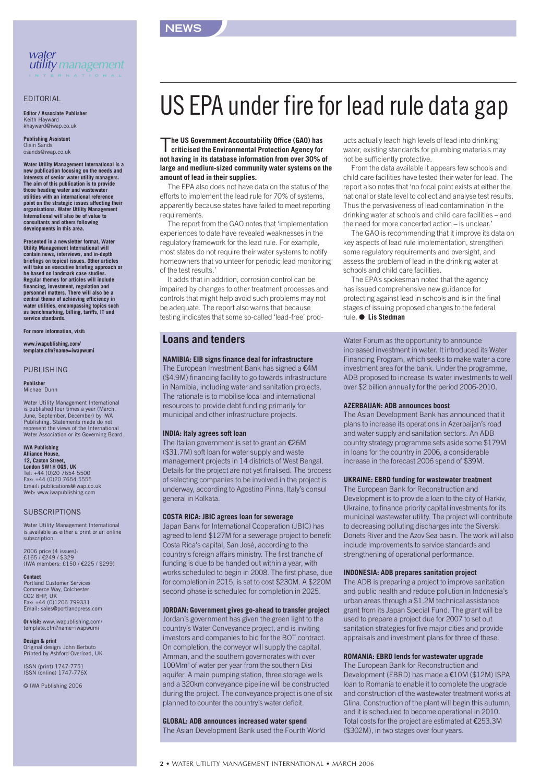



#### EDITORIAL

**Editor / Associate Publisher** Keith Hayward khayward@iwap.co.uk

**Publishing Assistant** Oisin Sa osands@iwap.co.uk

**Water Utility Management International is a new publication focusing on the needs and interests of senior water utility managers. The aim of this publication is to provide those heading water and wastewater utilities with an international reference point on the strategic issues affecting their organisations. Water Utility Management International will also be of value to consultants and others following developments in this area.**

**Presented in a newsletter format, Water Utility Management International will contain news, interviews, and in-depth briefings on topical issues. Other articles will take an executive briefing approach or be based on landmark case studies. Regular themes for articles will include**<br>financing, investment, regulation and **financing, investment, regulation and personnel matters. There will also be a central theme of achieving efficiency in water utilities, encompassing topics such as benchmarking, billing, tariffs, IT and service standards.**

**For more information, visit:**

**www.iwapublishing.com/ template.cfm?name=iwapwumi**

#### PUBLISHING

**Publisher** Michael Dunn

Water Utility Management International is published four times a year (March, June, September, December) by IWA Publishing. Statements made do not represent the views of the International Water Association or its Governing Board.

#### **IWA Publishing Alliance House,**

**12, Caxton Street, London SW1H 0QS, UK** Tel: +44 (0)20 7654 5500 Fax: +44 (0)20 7654 5555 Email: publications@iwap.co.uk Web: www.iwapublishing.com

#### **SUBSCRIPTIONS**

Water Utility Management International is available as either a print or an online subscription.

2006 price (4 issues): £165 / €249 / \$329 (IWA members: £150 / €225 / \$299)

**Contact** Portland Customer Services Commerce Way, Colchester CO2 8HP, UK Fax: +44 (0)1206 799331 Email: sales@portlandpress.com

**Or visit:** www.iwapublishing.com/ template.cfm?name=iwapwumi

**Design & print** Original design: John Berbuto Printed by Ashford Overload, UK

ISSN (print) 1747-7751 ISSN (online) 1747-776X

© IWA Publishing 2006

## US EPA under fire for lead rule data gap

T**he US Government Accountability Office (GAO) has criticised the Environmental Protection Agency for not having in its database information from over 30% of large and medium-sized community water systems on the amount of lead in their supplies.**

The EPA also does not have data on the status of the efforts to implement the lead rule for 70% of systems, apparently because states have failed to meet reporting requirements.

The report from the GAO notes that 'implementation experiences to date have revealed weaknesses in the regulatory framework for the lead rule. For example, most states do not require their water systems to notify homeowners that volunteer for periodic lead monitoring of the test results.'

It adds that in addition, corrosion control can be impaired by changes to other treatment processes and controls that might help avoid such problems may not be adequate. The report also warns that because testing indicates that some so-called 'lead-free' prod-

#### **Loans and tenders**

#### **NAMIBIA: EIB signs finance deal for infrastructure**

The European Investment Bank has signed a €4M (\$4.9M) financing facility to go towards infrastructure in Namibia, including water and sanitation projects. The rationale is to mobilise local and international resources to provide debt funding primarily for municipal and other infrastructure projects.

#### **INDIA: Italy agrees soft loan**

The Italian government is set to grant an €26M (\$31.7M) soft loan for water supply and waste management projects in 14 districts of West Bengal. Details for the project are not yet finalised. The process of selecting companies to be involved in the project is underway, according to Agostino Pinna, Italy's consul general in Kolkata.

#### **COSTA RICA: JBIC agrees loan for sewerage**

Japan Bank for International Cooperation (JBIC) has agreed to lend \$127M for a sewerage project to benefit Costa Rica's capital, San José, according to the country's foreign affairs ministry. The first tranche of funding is due to be handed out within a year, with works scheduled to begin in 2008. The first phase, due for completion in 2015, is set to cost \$230M. A \$220M second phase is scheduled for completion in 2025.

#### **JORDAN: Government gives go-ahead to transfer project**

Jordan's government has given the green light to the country's Water Conveyance project, and is inviting investors and companies to bid for the BOT contract. On completion, the conveyor will supply the capital, Amman, and the southern governorates with over 100Mm3 of water per year from the southern Disi aquifer. A main pumping station, three storage wells and a 320km conveyance pipeline will be constructed during the project. The conveyance project is one of six planned to counter the country's water deficit.

#### **GLOBAL: ADB announces increased water spend**

The Asian Development Bank used the Fourth World

ucts actually leach high levels of lead into drinking water, existing standards for plumbing materials may not be sufficiently protective.

From the data available it appears few schools and child care facilities have tested their water for lead. The report also notes that 'no focal point exists at either the national or state level to collect and analyse test results. Thus the pervasiveness of lead contamination in the drinking water at schools and child care facilities – and the need for more concerted action – is unclear.'

The GAO is recommending that it improve its data on key aspects of lead rule implementation, strengthen some regulatory requirements and oversight, and assess the problem of lead in the drinking water at schools and child care facilities.

The EPA's spokesman noted that the agency has issued comprehensive new guidance for protecting against lead in schools and is in the final stages of issuing proposed changes to the federal rule. ● **Lis Stedman**

Water Forum as the opportunity to announce increased investment in water. It introduced its Water Financing Program, which seeks to make water a core investment area for the bank. Under the programme, ADB proposed to increase its water investments to well over \$2 billion annually for the period 2006-2010.

#### **AZERBAIJAN: ADB announces boost**

The Asian Development Bank has announced that it plans to increase its operations in Azerbaijan's road and water supply and sanitation sectors. An ADB country strategy programme sets aside some \$179M in loans for the country in 2006, a considerable increase in the forecast 2006 spend of \$39M.

#### **UKRAINE: EBRD funding for wastewater treatment**

The European Bank for Reconstruction and Development is to provide a loan to the city of Harkiv, Ukraine, to finance priority capital investments for its municipal wastewater utility. The project will contribute to decreasing polluting discharges into the Siverski Donets River and the Azov Sea basin. The work will also include improvements to service standards and strengthening of operational performance.

#### **INDONESIA: ADB prepares sanitation project**

The ADB is preparing a project to improve sanitation and public health and reduce pollution in Indonesia's urban areas through a \$1.2M technical assistance grant from its Japan Special Fund. The grant will be used to prepare a project due for 2007 to set out sanitation strategies for five major cities and provide appraisals and investment plans for three of these.

#### **ROMANIA: EBRD lends for wastewater upgrade**

The European Bank for Reconstruction and Development (EBRD) has made a €10M (\$12M) ISPA loan to Romania to enable it to complete the upgrade and construction of the wastewater treatment works at Glina. Construction of the plant will begin this autumn, and it is scheduled to become operational in 2010. Total costs for the project are estimated at €253.3M (\$302M), in two stages over four years.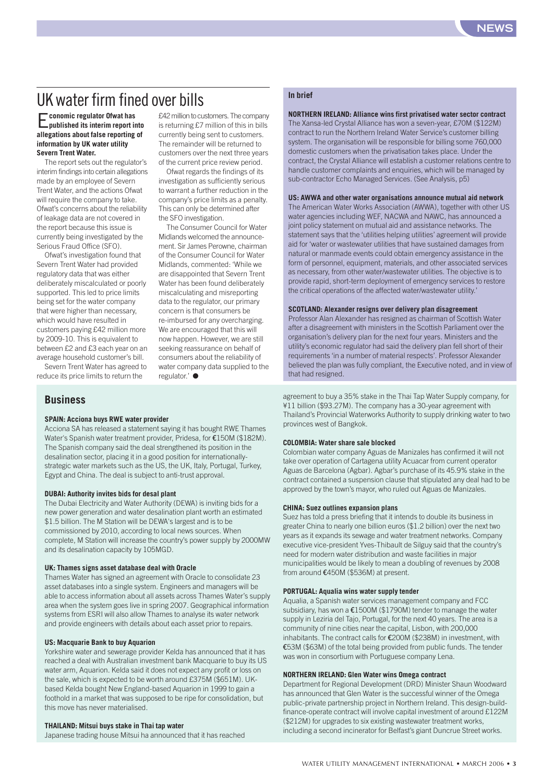### UK water firm fined over bills

E**conomic regulator Ofwat has published its interim report into allegations about false reporting of information by UK water utility Severn Trent Water.**

The report sets out the regulator's interim findings into certain allegations made by an employee of Severn Trent Water, and the actions Ofwat will require the company to take. Ofwat's concerns about the reliability of leakage data are not covered in the report because this issue is currently being investigated by the Serious Fraud Office (SFO).

Ofwat's investigation found that Severn Trent Water had provided regulatory data that was either deliberately miscalculated or poorly supported. This led to price limits being set for the water company that were higher than necessary, which would have resulted in customers paying £42 million more by 2009-10. This is equivalent to between £2 and £3 each year on an average household customer's bill.

Severn Trent Water has agreed to reduce its price limits to return the

#### **Business**

#### **SPAIN: Acciona buys RWE water provider**

Acciona SA has released a statement saying it has bought RWE Thames Water's Spanish water treatment provider, Pridesa, for €150M (\$182M). The Spanish company said the deal strengthened its position in the desalination sector, placing it in a good position for internationallystrategic water markets such as the US, the UK, Italy, Portugal, Turkey, Egypt and China. The deal is subject to anti-trust approval.

regulator.' ●

#### **DUBAI: Authority invites bids for desal plant**

The Dubai Electricity and Water Authority (DEWA) is inviting bids for a new power generation and water desalination plant worth an estimated \$1.5 billion. The M Station will be DEWA's largest and is to be commissioned by 2010, according to local news sources. When complete, M Station will increase the country's power supply by 2000MW and its desalination capacity by 105MGD.

#### **UK: Thames signs asset database deal with Oracle**

Thames Water has signed an agreement with Oracle to consolidate 23 asset databases into a single system. Engineers and managers will be able to access information about all assets across Thames Water's supply area when the system goes live in spring 2007. Geographical information systems from ESRI will also allow Thames to analyse its water network and provide engineers with details about each asset prior to repairs.

#### **US: Macquarie Bank to buy Aquarion**

Yorkshire water and sewerage provider Kelda has announced that it has reached a deal with Australian investment bank Macquarie to buy its US water arm, Aquarion. Kelda said it does not expect any profit or loss on the sale, which is expected to be worth around £375M (\$651M). UKbased Kelda bought New England-based Aquarion in 1999 to gain a foothold in a market that was supposed to be ripe for consolidation, but this move has never materialised.

#### **THAILAND: Mitsui buys stake in Thai tap water**

Japanese trading house Mitsui ha announced that it has reached

#### **In brief**

£42 million to customers. The company is returning £7 million of this in bills currently being sent to customers. The remainder will be returned to customers over the next three years of the current price review period. Ofwat regards the findings of its investigation as sufficiently serious to warrant a further reduction in the company's price limits as a penalty. This can only be determined after

The Consumer Council for Water Midlands welcomed the announcement. Sir James Perowne, chairman of the Consumer Council for Water Midlands, commented: 'While we are disappointed that Severn Trent Water has been found deliberately miscalculating and misreporting data to the regulator, our primary concern is that consumers be re-imbursed for any overcharging. We are encouraged that this will now happen. However, we are still seeking reassurance on behalf of consumers about the reliability of water company data supplied to the

the SFO investigation.

#### **NORTHERN IRELAND: Alliance wins first privatised water sector contract**

The Xansa-led Crystal Alliance has won a seven-year, £70M (\$122M) contract to run the Northern Ireland Water Service's customer billing system. The organisation will be responsible for billing some 760,000 domestic customers when the privatisation takes place. Under the contract, the Crystal Alliance will establish a customer relations centre to handle customer complaints and enquiries, which will be managed by sub-contractor Echo Managed Services. (See Analysis, p5)

#### **US: AWWA and other water organisations announce mutual aid network**

The American Water Works Association (AWWA), together with other US water agencies including WEF, NACWA and NAWC, has announced a joint policy statement on mutual aid and assistance networks. The statement says that the 'utilities helping utilities' agreement will provide aid for 'water or wastewater utilities that have sustained damages from natural or manmade events could obtain emergency assistance in the form of personnel, equipment, materials, and other associated services as necessary, from other water/wastewater utilities. The objective is to provide rapid, short-term deployment of emergency services to restore the critical operations of the affected water/wastewater utility.'

#### **SCOTLAND: Alexander resigns over delivery plan disagreement**

Professor Alan Alexander has resigned as chairman of Scottish Water after a disagreement with ministers in the Scottish Parliament over the organisation's delivery plan for the next four years. Ministers and the utility's economic regulator had said the delivery plan fell short of their requirements 'in a number of material respects'. Professor Alexander believed the plan was fully compliant, the Executive noted, and in view of that had resigned.

agreement to buy a 35% stake in the Thai Tap Water Supply company, for ¥11 billion (\$93.27M). The company has a 30-year agreement with Thailand's Provincial Waterworks Authority to supply drinking water to two provinces west of Bangkok.

#### **COLOMBIA: Water share sale blocked**

Colombian water company Aguas de Manizales has confirmed it will not take over operation of Cartagena utility Acuacar from current operator Aguas de Barcelona (Agbar). Agbar's purchase of its 45.9% stake in the contract contained a suspension clause that stipulated any deal had to be approved by the town's mayor, who ruled out Aguas de Manizales.

#### **CHINA: Suez outlines expansion plans**

Suez has told a press briefing that it intends to double its business in greater China to nearly one billion euros (\$1.2 billion) over the next two years as it expands its sewage and water treatment networks. Company executive vice-president Yves-Thibault de Silguy said that the country's need for modern water distribution and waste facilities in major municipalities would be likely to mean a doubling of revenues by 2008 from around €450M (\$536M) at present.

#### **PORTUGAL: Aqualia wins water supply tender**

Aqualia, a Spanish water services management company and FCC subsidiary, has won a €1500M (\$1790M) tender to manage the water supply in Leziria del Tajo, Portugal, for the next 40 years. The area is a community of nine cities near the capital, Lisbon, with 200,000 inhabitants. The contract calls for €200M (\$238M) in investment, with €53M (\$63M) of the total being provided from public funds. The tender was won in consortium with Portuguese company Lena.

#### **NORTHERN IRELAND: Glen Water wins Omega contract**

Department for Regional Development (DRD) Minister Shaun Woodward has announced that Glen Water is the successful winner of the Omega public-private partnership project in Northern Ireland. This design-buildfinance-operate contract will involve capital investment of around £122M (\$212M) for upgrades to six existing wastewater treatment works, including a second incinerator for Belfast's giant Duncrue Street works.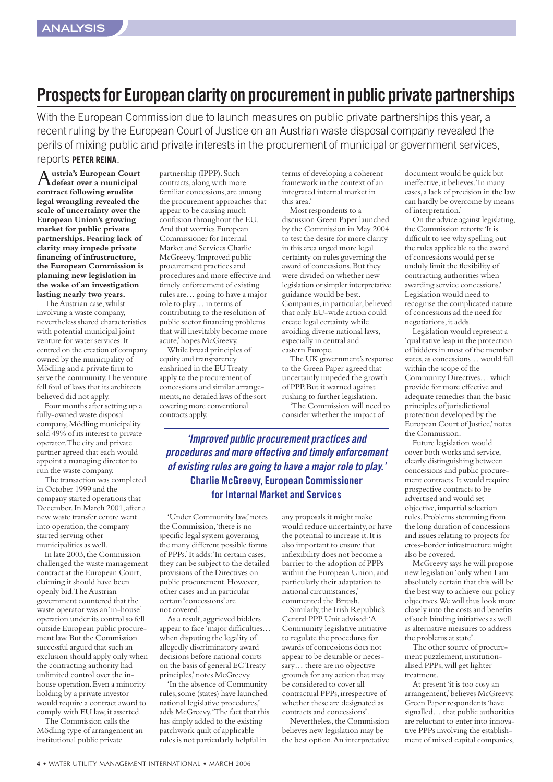### **Prospects for European clarity on procurement in public private partnerships**

With the European Commission due to launch measures on public private partnerships this year, a recent ruling by the European Court of Justice on an Austrian waste disposal company revealed the perils of mixing public and private interests in the procurement of municipal or government services,

#### reports **PETER REINA**.

A**ustria's European Court defeat over a municipal contract following erudite legal wrangling revealed the scale of uncertainty over the European Union's growing market for public private partnerships.Fearing lack of clarity may impede private financing of infrastructure, the European Commission is planning new legislation in the wake of an investigation lasting nearly two years.**

The Austrian case,whilst involving a waste company, nevertheless shared characteristics with potential municipal joint venture for water services.It centred on the creation of company owned by the municipality of Mödling and a private firm to serve the community.The venture fell foul of laws that its architects believed did not apply.

Four months after setting up a fully-owned waste disposal company,Mödling municipality sold 49% of its interest to private operator.The city and private partner agreed that each would appoint a managing director to run the waste company.

The transaction was completed in October 1999 and the company started operations that December.In March 2001,after a new waste transfer centre went into operation, the company started serving other municipalities as well.

In late 2003, the Commission challenged the waste management contract at the European Court, claiming it should have been openly bid.The Austrian government countered that the waste operator was an 'in-house' operation under its control so fell outside European public procurement law.But the Commission successful argued that such an exclusion should apply only when the contracting authority had unlimited control over the inhouse operation.Even a minority holding by a private investor would require a contract award to comply with EU law,it asserted.

The Commission calls the Mödling type of arrangement an institutional public private

partnership (IPPP). Such contracts, along with more familiar concessions,are among the procurement approaches that appear to be causing much confusion throughout the EU. And that worries European Commissioner for Internal Market and Services Charlie McGreevy.'Improved public procurement practices and procedures and more effective and timely enforcement of existing rules are… going to have a major role to play… in terms of contributing to the resolution of public sector financing problems that will inevitably become more acute,'hopes McGreevy.

While broad principles of equity and transparency enshrined in the EU Treaty apply to the procurement of concessions and similar arrangements,no detailed laws of the sort covering more conventional contracts apply.

terms of developing a coherent framework in the context of an integrated internal market in this area.'

Most respondents to a discussion Green Paper launched by the Commission in May 2004 to test the desire for more clarity in this area urged more legal certainty on rules governing the award of concessions.But they were divided on whether new legislation or simpler interpretative guidance would be best. Companies, in particular, believed that only EU-wide action could create legal certainty while avoiding diverse national laws, especially in central and eastern Europe.

The UK government's response to the Green Paper agreed that uncertainly impeded the growth of PPP.But it warned against rushing to further legislation.

'The Commission will need to consider whether the impact of

*'Improved public procurement practices and procedures and more effective and timely enforcement of existing rules are going to have a major role to play.'* **Charlie McGreevy, European Commissioner for Internal Market and Services**

'Under Community law,'notes the Commission,'there is no specific legal system governing the many different possible forms of PPPs.'It adds:'In certain cases, they can be subject to the detailed provisions of the Directives on public procurement.However, other cases and in particular certain 'concessions'are not covered.'

As a result, aggrieved bidders appear to face 'major difficulties… when disputing the legality of allegedly discriminatory award decisions before national courts on the basis of general EC Treaty principles,'notes McGreevy.

'In the absence of Community rules,some (states) have launched national legislative procedures,' adds McGreevy.'The fact that this has simply added to the existing patchwork quilt of applicable rules is not particularly helpful in

any proposals it might make would reduce uncertainty,or have the potential to increase it.It is also important to ensure that inflexibility does not become a barrier to the adoption of PPPs within the European Union, and particularly their adaptation to national circumstances,' commented the British.

Similarly, the Irish Republic's Central PPP Unit advised:'A Community legislative initiative to regulate the procedures for awards of concessions does not appear to be desirable or necessary… there are no objective grounds for any action that may be considered to cover all contractual PPPs, irrespective of whether these are designated as contracts and concessions'.

Nevertheless, the Commission believes new legislation may be the best option.An interpretative

document would be quick but ineffective, it believes. 'In many cases,a lack of precision in the law can hardly be overcome by means of interpretation.'

On the advice against legislating, the Commission retorts:'It is difficult to see why spelling out the rules applicable to the award of concessions would per se unduly limit the flexibility of contracting authorities when awarding service concessions.' Legislation would need to recognise the complicated nature of concessions ad the need for negotiations, it adds.

Legislation would represent a 'qualitative leap in the protection of bidders in most of the member states,as concessions… would fall within the scope of the Community Directives… which provide for more effective and adequate remedies than the basic principles of jurisdictional protection developed by the European Court of Justice,'notes the Commission.

Future legislation would cover both works and service, clearly distinguishing between concessions and public procurement contracts.It would require prospective contracts to be advertised and would set objective,impartial selection rules.Problems stemming from the long duration of concessions and issues relating to projects for cross-border infrastructure might also be covered.

McGreevy says he will propose new legislation 'only when I am absolutely certain that this will be the best way to achieve our policy objectives.We will thus look more closely into the costs and benefits of such binding initiatives as well as alternative measures to address the problems at state'.

The other source of procurement puzzlement, institutionalised PPPs,will get lighter treatment.

At present 'it is too cosy an arrangement,'believes McGreevy. Green Paper respondents 'have signalled… that public authorities are reluctant to enter into innovative PPPs involving the establishment of mixed capital companies,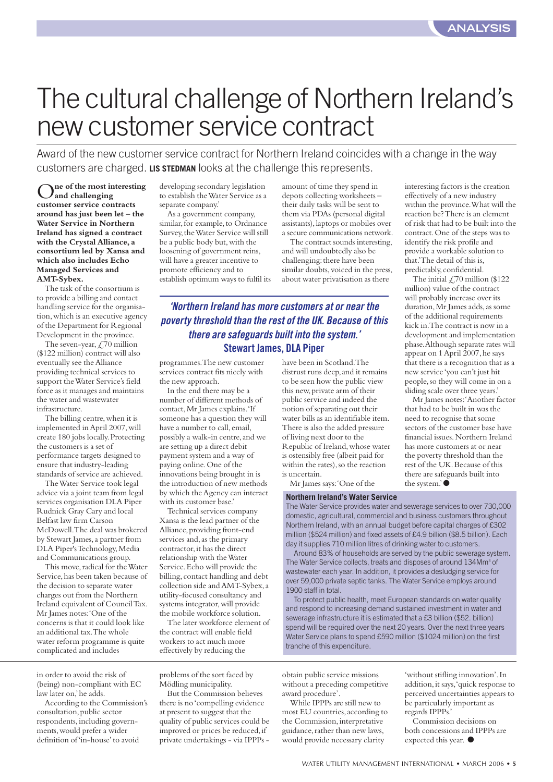# The cultural challenge of Northern Ireland's new customer service contract

Award of the new customer service contract for Northern Ireland coincides with a change in the way customers are charged. **LIS STEDMAN** looks at the challenge this represents.

O**ne of the most interesting and challenging customer service contracts around has just been let – the Water Service in Northern Ireland has signed a contract with the Crystal Alliance,a consortium led by Xansa and which also includes Echo Managed Services and AMT-Sybex.**

The task of the consortium is to provide a billing and contact handling service for the organisation,which is an executive agency of the Department for Regional Development in the province.

The seven-year,  $\overline{\mathcal{L}}$ 70 million (\$122 million) contract will also eventually see the Alliance providing technical services to support the Water Service's field force as it manages and maintains the water and wastewater infrastructure.

The billing centre,when it is implemented in April 2007,will create 180 jobs locally.Protecting the customers is a set of performance targets designed to ensure that industry-leading standards of service are achieved.

The Water Service took legal advice via a joint team from legal services organisation DLA Piper Rudnick Gray Cary and local Belfast law firm Carson McDowell.The deal was brokered by Stewart James, a partner from DLA Piper's Technology, Media and Communications group.

This move, radical for the Water Service,has been taken because of the decision to separate water charges out from the Northern Ireland equivalent of Council Tax. Mr James notes:'One of the concerns is that it could look like an additional tax.The whole water reform programme is quite complicated and includes

developing secondary legislation to establish the Water Service as a separate company.'

As a government company, similar, for example, to Ordnance Survey, the Water Service will still be a public body but, with the loosening of government reins, will have a greater incentive to promote efficiency and to establish optimum ways to fulfil its amount of time they spend in depots collecting worksheets – their daily tasks will be sent to them via PDAs (personal digital assistants),laptops or mobiles over a secure communications network.

The contract sounds interesting, and will undoubtedly also be challenging: there have been similar doubts, voiced in the press, about water privatisation as there

*'Northern Ireland has more customers at or near the poverty threshold than the rest of the UK. Because of this there are safeguards built into the system.'* **Stewart James, DLA Piper**

programmes.The new customer services contract fits nicely with the new approach.

In the end there may be a number of different methods of contact,Mr James explains.'If someone has a question they will have a number to call, email, possibly a walk-in centre, and we are setting up a direct debit payment system and a way of paying online.One of the innovations being brought in is the introduction of new methods by which the Agency can interact with its customer base.'

Technical services company Xansa is the lead partner of the Alliance, providing front-end services and, as the primary contractor,it has the direct relationship with the Water Service.Echo will provide the billing, contact handling and debt collection side and AMT-Sybex,a utility-focused consultancy and systems integrator,will provide the mobile workforce solution.

The later workforce element of the contract will enable field workers to act much more effectively by reducing the

in order to avoid the risk of (being) non-compliant with EC law later on,'he adds.

According to the Commission's consultation,public sector respondents,including governments,would prefer a wider definition of 'in-house'to avoid

problems of the sort faced by Mödling municipality.

But the Commission believes there is no 'compelling evidence at present to suggest that the quality of public services could be improved or prices be reduced,if private undertakings - via IPPPs -

have been in Scotland.The distrust runs deep,and it remains to be seen how the public view this new,private arm of their public service and indeed the notion of separating out their water bills as an identifiable item. There is also the added pressure of living next door to the Republic of Ireland,whose water is ostensibly free (albeit paid for within the rates), so the reaction is uncertain.

Mr James says:'One of the

**Northern Ireland's Water Service**

interesting factors is the creation effectively of a new industry within the province.What will the reaction be? There is an element of risk that had to be built into the contract.One of the steps was to identify the risk profile and provide a workable solution to that.'The detail of this is, predictably, confidential.

The initial  $\text{\textsterling}70$  million (\$122 million) value of the contract will probably increase over its duration, Mr James adds, as some of the additional requirements kick in.The contract is now in a development and implementation phase.Although separate rates will appear on 1 April 2007, he says that there is a recognition that as a new service 'you can't just hit people,so they will come in on a sliding scale over three years.'

Mr James notes:'Another factor that had to be built in was the need to recognise that some sectors of the customer base have financial issues.Northern Ireland has more customers at or near the poverty threshold than the rest of the UK.Because of this there are safeguards built into the system.'●

The Water Service provides water and sewerage services to over 730,000 domestic, agricultural, commercial and business customers throughout Northern Ireland, with an annual budget before capital charges of £302 million (\$524 million) and fixed assets of £4.9 billion (\$8.5 billion). Each day it supplies 710 million litres of drinking water to customers.

Around 83% of households are served by the public sewerage system. The Water Service collects, treats and disposes of around 134Mm<sup>3</sup> of wastewater each year. In addition, it provides a desludging service for over 59,000 private septic tanks. The Water Service employs around 1900 staff in total.

To protect public health, meet European standards on water quality and respond to increasing demand sustained investment in water and sewerage infrastructure it is estimated that a £3 billion (\$52. billion) spend will be required over the next 20 years. Over the next three years Water Service plans to spend £590 million (\$1024 million) on the first tranche of this expenditure.

obtain public service missions without a preceding competitive award procedure'.

While IPPPs are still new to most EU countries,according to the Commission, interpretative guidance, rather than new laws, would provide necessary clarity

'without stifling innovation'.In addition, it says, 'quick response to perceived uncertainties appears to be particularly important as regards IPPPs.'

Commission decisions on both concessions and IPPPs are expected this year. ●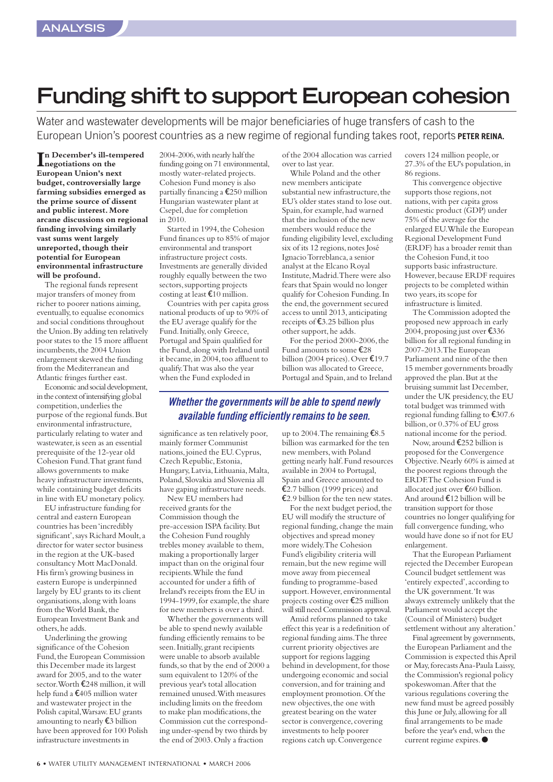## **Funding shift to support European cohesion**

Water and wastewater developments will be major beneficiaries of huge transfers of cash to the European Union's poorest countries as a new regime of regional funding takes root, reports **PETER REINA.**

**I**n December's ill-tempered<br> **negotiations** on the **negotiations on the European Union's next budget,controversially large farming subsidies emerged as the prime source of dissent and public interest.More arcane discussions on regional funding involving similarly vast sums went largely**  unreported, though their **potential for European environmental infrastructure will be profound.**

The regional funds represent major transfers of money from richer to poorer nations aiming, eventually,to equalise economics and social conditions throughout the Union.By adding ten relatively poor states to the 15 more affluent incumbents, the 2004 Union enlargement skewed the funding from the Mediterranean and Atlantic fringes further east.

Economic and social development, in the context of intensifying global competition,underlies the purpose of the regional funds.But environmental infrastructure, particularly relating to water and wastewater,is seen as an essential prerequisite of the 12-year old Cohesion Fund.That grant fund allows governments to make heavy infrastructure investments, while containing budget deficits in line with EU monetary policy.

EU infrastructure funding for central and eastern European countries has been 'incredibly significant', says Richard Moult, a director for water sector business in the region at the UK-based consultancy Mott MacDonald. His firm's growing business in eastern Europe is underpinned largely by EU grants to its client organisations,along with loans from the World Bank, the European Investment Bank and others,he adds.

Underlining the growing significance of the Cohesion Fund, the European Commission this December made its largest award for 2005,and to the water sector.Worth €248 million,it will help fund a €405 million water and wastewater project in the Polish capital,Warsaw.EU grants amounting to nearly €3 billion have been approved for 100 Polish infrastructure investments in

2004-2006,with nearly half the funding going on 71 environmental, mostly water-related projects. Cohesion Fund money is also partially financing a €250 million Hungarian wastewater plant at Csepel,due for completion in 2010.

Started in 1994, the Cohesion Fund finances up to 85% of major environmental and transport infrastructure project costs. Investments are generally divided roughly equally between the two sectors,supporting projects costing at least €10 million.

Countries with per capita gross national products of up to 90% of the EU average qualify for the Fund.Initially,only Greece, Portugal and Spain qualified for the Fund, along with Ireland until it became, in 2004, too affluent to qualify.That was also the year when the Fund exploded in

of the 2004 allocation was carried over to last year.

While Poland and the other new members anticipate  $subtransition$  new infrastructure, the EU's older states stand to lose out. Spain,for example,had warned that the inclusion of the new members would reduce the funding eligibility level, excluding six of its 12 regions, notes José Ignacio Torreblanca,a senior analyst at the Elcano Royal Institute,Madrid.There were also fears that Spain would no longer qualify for Cohesion Funding.In the end, the government secured access to until 2013,anticipating receipts of €3.25 billion plus other support, he adds.

For the period 2000-2006, the Fund amounts to some €28 billion (2004 prices).Over €19.7 billion was allocated to Greece, Portugal and Spain, and to Ireland

#### *Whether the governments will be able to spend newly available funding efficiently remains to be seen.*

significance as ten relatively poor, mainly former Communist nations,joined the EU.Cyprus, Czech Republic,Estonia, Hungary, Latvia, Lithuania, Malta, Poland, Slovakia and Slovenia all have gaping infrastructure needs.

New EU members had received grants for the Commission though the pre-accession ISPA facility.But the Cohesion Fund roughly trebles money available to them, making a proportionally larger impact than on the original four recipients.While the fund accounted for under a fifth of Ireland's receipts from the EU in 1994-1999,for example,the share for new members is over a third.

Whether the governments will be able to spend newly available funding efficiently remains to be seen. Initially, grant recipients were unable to absorb available funds, so that by the end of 2000 a sum equivalent to 120% of the previous year's total allocation remained unused.With measures including limits on the freedom to make plan modifications, the Commission cut the corresponding under-spend by two thirds by the end of 2003.Only a fraction

up to 2004. The remaining  $\textcolor{red}{\mathbf{\epsilon}}$ 8.5 billion was earmarked for the ten new members, with Poland getting nearly half.Fund resources available in 2004 to Portugal, Spain and Greece amounted to €2.7 billion (1999 prices) and €2.9 billion for the ten new states.

For the next budget period, the EU will modify the structure of regional funding, change the main objectives and spread money more widely. The Cohesion Fund's eligibility criteria will remain,but the new regime will move away from piecemeal funding to programme-based support. However, environmental projects costing over €25 million will still need Commission approval.

Amid reforms planned to take effect this year is a redefinition of regional funding aims.The three current priority objectives are support for regions lagging behind in development, for those undergoing economic and social conversion,and for training and employment promotion.Of the new objectives, the one with greatest bearing on the water sector is convergence, covering investments to help poorer regions catch up.Convergence

covers 124 million people,or 27.3% of the EU's population,in 86 regions.

This convergence objective supports those regions, not nations,with per capita gross domestic product (GDP) under 75% of the average for the enlarged EU.While the European Regional Development Fund (ERDF) has a broader remit than the Cohesion Fund, it too supports basic infrastructure. However,because ERDF requires projects to be completed within two years, its scope for infrastructure is limited.

The Commission adopted the proposed new approach in early 2004, proposing just over €336 billion for all regional funding in 2007-2013.The European Parliament and nine of the then 15 member governments broadly approved the plan.But at the bruising summit last December, under the UK presidency, the EU total budget was trimmed with regional funding falling to €307.6 billion,or 0.37% of EU gross national income for the period.

Now, around  $\epsilon$ 252 billion is proposed for the Convergence Objective.Nearly 60% is aimed at the poorest regions through the ERDF.The Cohesion Fund is allocated just over €60 billion. And around €12 billion will be transition support for those countries no longer qualifying for full convergence funding, who would have done so if not for EU enlargement.

That the European Parliament rejected the December European Council budget settlement was 'entirely expected',according to the UK government.'It was always extremely unlikely that the Parliament would accept the (Council of Ministers) budget settlement without any alteration.'

Final agreement by governments, the European Parliament and the Commission is expected this April or May,forecasts Ana-Paula Laissy, the Commission's regional policy spokeswoman.After that the various regulations covering the new fund must be agreed possibly this June or July, allowing for all final arrangements to be made before the year's end,when the current regime expires.●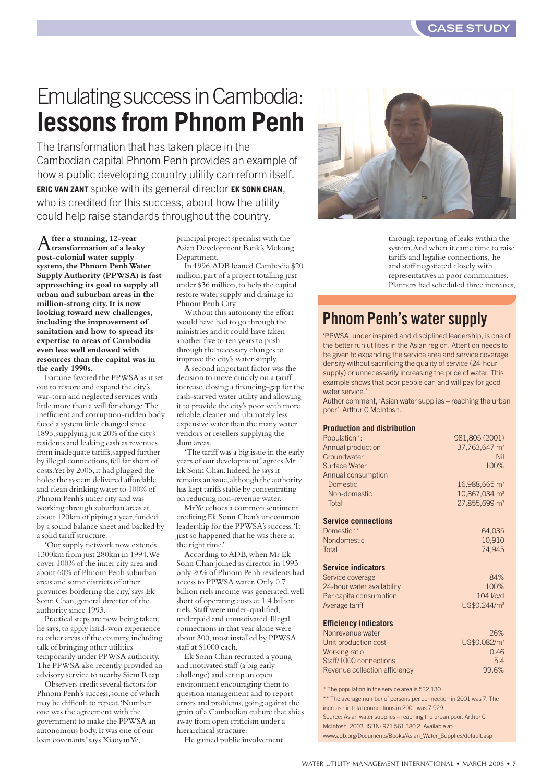## Emulating success in Cambodia: **lessons from Phnom Penh**

The transformation that has taken place in the Cambodian capital Phnom Penh provides an example of how a public developing country utility can reform itself. **ERIC VAN ZANT** spoke with its general director **EK SONN CHAN**, who is credited for this success, about how the utility could help raise standards throughout the country.

A**fter a stunning, 12-year transformation of a leaky post-colonial water supply**  system, the Phnom Penh Water **Supply Authority (PPWSA) is fast approaching its goal to supply all urban and suburban areas in the million-strong city.It is now looking toward new challenges, including the improvement of sanitation and how to spread its expertise to areas of Cambodia even less well endowed with resources than the capital was in the early 1990s.**

Fortune favored the PPWSA as it set out to restore and expand the city's war-torn and neglected services with little more than a will for change.The inefficient and corruption-ridden body faced a system little changed since 1895,supplying just 20% of the city's residents and leaking cash as revenues from inadequate tariffs,sapped further by illegal connections, fell far short of costs.Yet by 2005,it had plugged the holes: the system delivered affordable and clean drinking water to 100% of Phnom Penh's inner city and was working through suburban areas at about 120km of piping a year, funded by a sound balance sheet and backed by a solid tariff structure.

'Our supply network now extends 1300km from just 280km in 1994.We cover 100% of the inner city area and about 60% of Phnom Penh suburban areas and some districts of other provinces bordering the city,'says Ek Sonn Chan,general director of the authority since 1993.

Practical steps are now being taken, he says,to apply hard-won experience to other areas of the country,including talk of bringing other utilities temporarily under PPWSA authority. The PPWSA also recently provided an advisory service to nearby Siem Reap.

Observers credit several factors for Phnom Penh's success,some of which may be difficult to repeat.'Number one was the agreement with the government to make the PPWSA an autonomous body.It was one of our loan covenants,'says Xiaoyan Ye,

principal project specialist with the Asian Development Bank's Mekong Department.

In 1996,ADB loaned Cambodia \$20 million,part of a project totalling just under \$36 million,to help the capital restore water supply and drainage in Phnom Penh City.

Without this autonomy the effort would have had to go through the ministries and it could have taken another five to ten years to push through the necessary changes to improve the city's water supply.

A second important factor was the decision to move quickly on a tariff increase, closing a financing-gap for the cash-starved water utility and allowing it to provide the city's poor with more reliable, cleaner and ultimately less expensive water than the many water vendors or resellers supplying the slum areas.

'The tariff was a big issue in the early years of our development,'agrees Mr Ek Sonn Chan.Indeed,he says it remains an issue, although the authority has kept tariffs stable by concentrating on reducing non-revenue water.

Mr Ye echoes a common sentiment crediting Ek Sonn Chan's uncommon leadership for the PPWSA's success.'It just so happened that he was there at the right time.'

According to ADB,when Mr Ek Sonn Chan joined as director in 1993 only 20% of Phnom Penh residents had access to PPWSA water.Only 0.7 billion riels income was generated,well short of operating costs at 1.4 billion riels.Staff were under-qualified, underpaid and unmotivated.Illegal connections in that year alone were about 300,most installed by PPWSA staff at \$1000 each.

Ek Sonn Chan recruited a young and motivated staff (a big early challenge) and set up an open environment encouraging them to question management and to report errors and problems,going against the grain of a Cambodian culture that shies away from open criticism under a hierarchical structure.

He gained public involvement



through reporting of leaks within the system.And when it came time to raise tariffs and legalise connections, he and staff negotiated closely with representatives in poor communities. Planners had scheduled three increases,

### **Phnom Penh's water supply**

'PPWSA, under inspired and disciplined leadership, is one of the better run utilities in the Asian region. Attention needs to be given to expanding the service area and service coverage density without sacrificing the quality of service (24-hour supply) or unnecessarily increasing the price of water. This example shows that poor people can and will pay for good water service.<sup>1</sup>

Author comment, 'Asian water supplies – reaching the urban poor', Arthur C McIntosh.

#### **Production and distribution**

| Population*:                                                       | 981,805 (2001)              |
|--------------------------------------------------------------------|-----------------------------|
| Annual production                                                  | 37,763,647 m <sup>3</sup>   |
| Groundwater                                                        | Nil                         |
| <b>Surface Water</b>                                               | 100%                        |
| Annual consumption                                                 |                             |
| <b>Domestic</b>                                                    | $16,988,665$ m <sup>3</sup> |
| Non-domestic                                                       | 10,867,034 m <sup>3</sup>   |
| Total                                                              | 27.855.699 m <sup>3</sup>   |
| <b>Service connections</b>                                         |                             |
| Domestic**                                                         | 64,035                      |
| <b>Nondomestic</b>                                                 | 10,910                      |
| Total                                                              | 74.945                      |
| <b>Service indicators</b>                                          |                             |
| Service coverage                                                   | 84%                         |
| 24-hour water availability                                         | 100%                        |
| Per capita consumption                                             | $104$ $Vcd$                 |
| Average tariff                                                     | US\$0.244/m <sup>3</sup>    |
| <b>Efficiency indicators</b>                                       |                             |
| Nonrevenue water                                                   | 26%                         |
| Unit production cost                                               | US\$0.082/m <sup>3</sup>    |
| Working ratio                                                      | 0.46                        |
| Staff/1000 connections                                             | 5.4                         |
| Revenue collection efficiency                                      | 99.6%                       |
| * The population in the service area is 532,130.                   |                             |
| ** The average number of persons per connection in 2001 was 7. The |                             |

increase in total connections in 2001 was 7,929. Source: Asian water supplies – reaching the urban poor. Arthur C McIntosh. 2003. ISBN: 971 561 380 2. Available at:

www.adb.org/Documents/Books/Asian\_Water\_Supplies/default.asp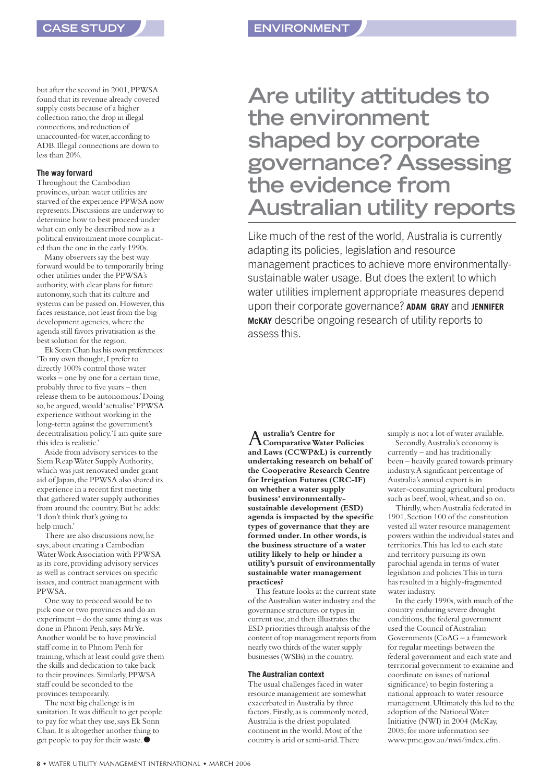but after the second in 2001,PPWSA found that its revenue already covered supply costs because of a higher collection ratio, the drop in illegal connections,and reduction of unaccounted-for water,according to ADB.Illegal connections are down to less than 20%.

#### **The way forward**

Throughout the Cambodian provinces,urban water utilities are starved of the experience PPWSA now represents.Discussions are underway to determine how to best proceed under what can only be described now as a political environment more complicated than the one in the early 1990s.

Many observers say the best way forward would be to temporarily bring other utilities under the PPWSA's authority, with clear plans for future autonomy,such that its culture and systems can be passed on. However, this faces resistance, not least from the big development agencies, where the agenda still favors privatisation as the best solution for the region.

Ek Sonn Chan has his own preferences: 'To my own thought,I prefer to directly 100% control those water works – one by one for a certain time, probably three to five years – then release them to be autonomous.'Doing so,he argued,would 'actualise'PPWSA experience without working in the long-term against the government's decentralisation policy.'I am quite sure this idea is realistic.'

Aside from advisory services to the Siem Reap Water Supply Authority, which was just renovated under grant aid of Japan, the PPWSA also shared its experience in a recent first meeting that gathered water supply authorities from around the country.But he adds: 'I don't think that's going to help much.'

There are also discussions now,he says,about creating a Cambodian Water Work Association with PPWSA as its core, providing advisory services as well as contract services on specific issues,and contract management with PPWSA.

One way to proceed would be to pick one or two provinces and do an experiment – do the same thing as was done in Phnom Penh, says Mr Ye. Another would be to have provincial staff come in to Phnom Penh for training,which at least could give them the skills and dedication to take back to their provinces.Similarly,PPWSA staff could be seconded to the provinces temporarily.

The next big challenge is in sanitation.It was difficult to get people to pay for what they use, says Ek Sonn Chan.It is altogether another thing to get people to pay for their waste. ●

## **Are utility attitudes to the environment shaped by corporate governance? Assessing the evidence from Australian utility reports**

Like much of the rest of the world, Australia is currently adapting its policies, legislation and resource management practices to achieve more environmentallysustainable water usage. But does the extent to which water utilities implement appropriate measures depend upon their corporate governance? **ADAM GRAY** and **JENNIFER McKAY** describe ongoing research of utility reports to assess this.

A**ustralia's Centre for Comparative Water Policies and Laws (CCWP&L) is currently undertaking research on behalf of the Cooperative Research Centre for Irrigation Futures (CRC-IF) on whether a water supply business'environmentallysustainable development (ESD) agenda is impacted by the specific types of governance that they are formed under.In other words,is the business structure of a water utility likely to help or hinder a utility's pursuit of environmentally sustainable water management practices?** 

This feature looks at the current state of the Australian water industry and the governance structures or types in current use,and then illustrates the ESD priorities through analysis of the content of top management reports from nearly two thirds of the water supply businesses (WSBs) in the country.

#### **The Australian context**

The usual challenges faced in water resource management are somewhat exacerbated in Australia by three factors.Firstly,as is commonly noted, Australia is the driest populated continent in the world.Most of the country is arid or semi-arid.There

simply is not a lot of water available.

Secondly,Australia's economy is currently – and has traditionally been – heavily geared towards primary industry.A significant percentage of Australia's annual export is in water-consuming agricultural products such as beef,wool,wheat,and so on.

Thirdly,when Australia federated in 1901,Section 100 of the constitution vested all water resource management powers within the individual states and territories.This has led to each state and territory pursuing its own parochial agenda in terms of water legislation and policies.This in turn has resulted in a highly-fragmented water industry.

In the early 1990s,with much of the country enduring severe drought conditions, the federal government used the Council of Australian Governments (CoAG – a framework for regular meetings between the federal government and each state and territorial government to examine and coordinate on issues of national significance) to begin fostering a national approach to water resource management.Ultimately this led to the adoption of the National Water Initiative (NWI) in 2004 (McKay, 2005;for more information see www.pmc.gov.au/nwi/index.cfm.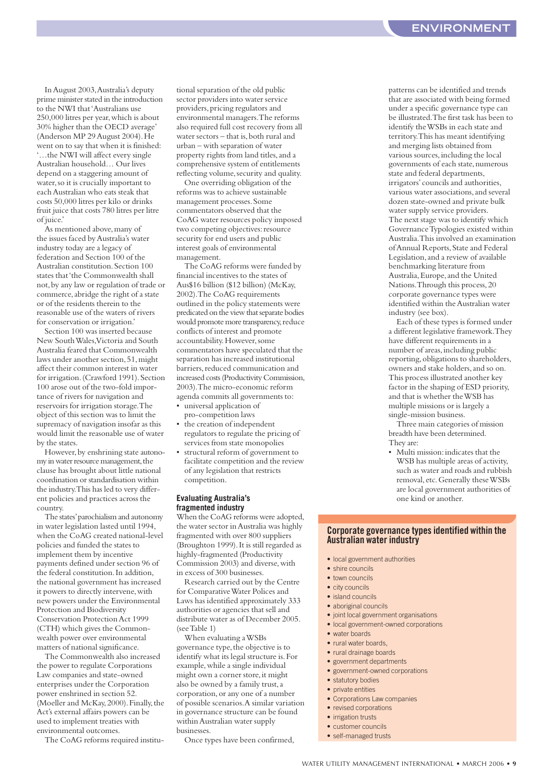In August 2003,Australia's deputy prime minister stated in the introduction to the NWI that 'Australians use 250,000 litres per year,which is about 30% higher than the OECD average' (Anderson MP 29 August 2004). He went on to say that when it is finished: '…the NWI will affect every single Australian household… Our lives depend on a staggering amount of water, so it is crucially important to each Australian who eats steak that costs 50,000 litres per kilo or drinks fruit juice that costs 780 litres per litre of juice.'

As mentioned above,many of the issues faced by Australia's water industry today are a legacy of federation and Section 100 of the Australian constitution. Section 100 states that 'the Commonwealth shall not,by any law or regulation of trade or commerce,abridge the right of a state or of the residents therein to the reasonable use of the waters of rivers for conservation or irrigation.'

Section 100 was inserted because New South Wales,Victoria and South Australia feared that Commonwealth laws under another section,51,might affect their common interest in water for irrigation. (Crawford 1991). Section 100 arose out of the two-fold importance of rivers for navigation and reservoirs for irrigation storage.The object of this section was to limit the supremacy of navigation insofar as this would limit the reasonable use of water by the states.

However,by enshrining state autonomy in water resource management, the clause has brought about little national coordination or standardisation within the industry.This has led to very different policies and practices across the country.

The states'parochialism and autonomy in water legislation lasted until 1994, when the CoAG created national-level policies and funded the states to implement them by incentive payments defined under section 96 of the federal constitution.In addition, the national government has increased it powers to directly intervene,with new powers under the Environmental Protection and Biodiversity Conservation Protection Act 1999 (CTH) which gives the Commonwealth power over environmental matters of national significance.

The Commonwealth also increased the power to regulate Corporations Law companies and state-owned enterprises under the Corporation power enshrined in section 52. (Moeller and McKay, 2000). Finally, the Act's external affairs powers can be used to implement treaties with environmental outcomes.

The CoAG reforms required institu-

tional separation of the old public sector providers into water service providers,pricing regulators and environmental managers.The reforms also required full cost recovery from all water sectors – that is, both rural and urban – with separation of water property rights from land titles, and a comprehensive system of entitlements reflecting volume, security and quality.

One overriding obligation of the reforms was to achieve sustainable management processes.Some commentators observed that the CoAG water resources policy imposed two competing objectives: resource security for end users and public interest goals of environmental management.

The CoAG reforms were funded by financial incentives to the states of Aus\$16 billion (\$12 billion) (McKay, 2002).The CoAG requirements outlined in the policy statements were predicated on the view that separate bodies would promote more transparency, reduce conflicts of interest and promote accountability. However, some commentators have speculated that the separation has increased institutional barriers, reduced communication and increased costs (Productivity Commission, 2003).The micro-economic reform agenda commits all governments to: • universal application of

pro-competition laws

- the creation of independent regulators to regulate the pricing of services from state monopolies
- structural reform of government to facilitate competition and the review of any legislation that restricts competition.

#### **Evaluating Australia's fragmented industry**

When the CoAG reforms were adopted, the water sector in Australia was highly fragmented with over 800 suppliers (Broughton 1999).It is still regarded as highly-fragmented (Productivity Commission 2003) and diverse, with in excess of 300 businesses.

Research carried out by the Centre for Comparative Water Polices and Laws has identified approximately 333 authorities or agencies that sell and distribute water as of December 2005. (see Table 1)

When evaluating a WSBs governance type,the objective is to identify what its legal structure is.For example,while a single individual might own a corner store, it might also be owned by a family trust,a corporation,or any one of a number of possible scenarios.A similar variation in governance structure can be found within Australian water supply businesses.

Once types have been confirmed,

patterns can be identified and trends that are associated with being formed under a specific governance type can be illustrated.The first task has been to identify the WSBs in each state and territory.This has meant identifying and merging lists obtained from various sources, including the local governments of each state, numerous state and federal departments, irrigators'councils and authorities, various water associations,and several dozen state-owned and private bulk water supply service providers. The next stage was to identify which Governance Typologies existed within Australia.This involved an examination of Annual Reports, State and Federal Legislation,and a review of available benchmarking literature from Australia,Europe,and the United Nations.Through this process,20 corporate governance types were identified within the Australian water industry (see box).

Each of these types is formed under a different legislative framework.They have different requirements in a number of areas, including public reporting, obligations to shareholders, owners and stake holders,and so on. This process illustrated another key factor in the shaping of ESD priority, and that is whether the WSB has multiple missions or is largely a single-mission business.

Three main categories of mission breadth have been determined. They are:

• Multi mission:indicates that the WSB has multiple areas of activity, such as water and roads and rubbish removal,etc.Generally these WSBs are local government authorities of one kind or another.

#### **Corporate governance types identified within the Australian water industry**

- local government authorities
- shire councils
- town councils
- city councils
- island councils
- aboriginal councils
- joint local government organisations
- local government-owned corporations
- water boards
- rural water boards,
- rural drainage boards
- government departments
- government-owned corporations
- statutory bodies
- private entities
- Corporations Law companies
- revised corporations
- irrigation trusts
- customer councils
- self-managed trusts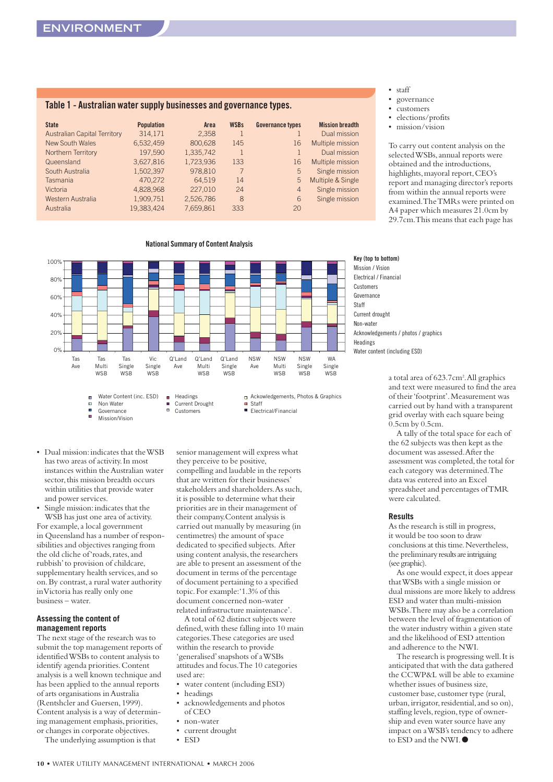#### **Table 1 - Australian water supply businesses and governance types.**

| <b>State</b>                        | <b>Population</b> | Area      | <b>WSBs</b> | <b>Governance types</b> | <b>Mission breadth</b> |
|-------------------------------------|-------------------|-----------|-------------|-------------------------|------------------------|
| <b>Australian Capital Territory</b> | 314.171           | 2.358     |             |                         | Dual mission           |
| New South Wales                     | 6,532,459         | 800.628   | 145         | 16                      | Multiple mission       |
| Northern Territory                  | 197.590           | 1,335,742 |             |                         | Dual mission           |
| Queensland                          | 3,627,816         | 1.723.936 | 133         | 16                      | Multiple mission       |
| South Australia                     | 1.502.397         | 978.810   | 7           | 5                       | Single mission         |
| Tasmania                            | 470,272           | 64.519    | 14          | 5                       | Multiple & Single      |
| Victoria                            | 4,828,968         | 227,010   | 24          | $\overline{4}$          | Single mission         |
| Western Australia                   | 1,909,751         | 2,526,786 | 8           | 6                       | Single mission         |
| Australia                           | 19.383.424        | 7.659.861 | 333         | 20                      |                        |

#### **National Summary of Content Analysis**



• Dual mission:indicates that the WSB has two areas of activity.In most instances within the Australian water sector, this mission breadth occurs within utilities that provide water and power services.

à.

Mission/Vision

Single mission: indicates that the WSB has just one area of activity. For example,a local government in Queensland has a number of responsibilities and objectives ranging from the old cliche of 'roads, rates, and rubbish'to provision of childcare, supplementary health services, and so on.By contrast,a rural water authority in Victoria has really only one business – water.

#### **Assessing the content of management reports**

The next stage of the research was to submit the top management reports of identified WSBs to content analysis to identify agenda priorities.Content analysis is a well known technique and has been applied to the annual reports of arts organisations in Australia (Rentshcler and Guersen,1999). Content analysis is a way of determining management emphasis, priorities, or changes in corporate objectives.

The underlying assumption is that

senior management will express what they perceive to be positive, compelling and laudable in the reports that are written for their businesses' stakeholders and shareholders.As such, it is possible to determine what their priorities are in their management of their company.Content analysis is carried out manually by measuring (in centimetres) the amount of space dedicated to specified subjects. After using content analysis, the researchers are able to present an assessment of the document in terms of the percentage of document pertaining to a specified topic.For example:'1.3% of this document concerned non-water related infrastructure maintenance'.

A total of 62 distinct subjects were defined, with these falling into 10 main categories.These categories are used within the research to provide 'generalised'snapshots of a WSBs attitudes and focus.The 10 categories used are:

- water content (including ESD)
- headings
- acknowledgements and photos of CEO
- non-water
- current drought
- ESD

• staff

- governance
- customers
- elections/profits
- mission/vision

To carry out content analysis on the selected WSBs,annual reports were obtained and the introductions, highlights, mayoral report, CEO's report and managing director's reports from within the annual reports were examined.The TMRs were printed on A4 paper which measures 21.0cm by 29.7cm.This means that each page has

**Key (top to bottom)** Mission / Vision Electrical / Financial Customers Governance **Staff** Current drought Non-water Acknowledgements / photos / graphics Headings Water content (including ESD)

> a total area of 623.7cm<sup>2</sup>. All graphics and text were measured to find the area of their 'footprint'.Measurement was carried out by hand with a transparent grid overlay with each square being 0.5cm by 0.5cm.

> A tally of the total space for each of the 62 subjects was then kept as the document was assessed.After the assessment was completed, the total for each category was determined.The data was entered into an Excel spreadsheet and percentages of TMR were calculated.

#### **Results**

As the research is still in progress, it would be too soon to draw conclusions at this time. Nevertheless, the preliminary results are intriguing (see graphic).

As one would expect,it does appear that WSBs with a single mission or dual missions are more likely to address ESD and water than multi-mission WSBs.There may also be a correlation between the level of fragmentation of the water industry within a given state and the likelihood of ESD attention and adherence to the NWI.

The research is progressing well.It is anticipated that with the data gathered the CCWP&L will be able to examine whether issues of business size, customer base, customer type (rural, urban, irrigator, residential, and so on), staffing levels, region, type of ownership and even water source have any impact on a WSB's tendency to adhere to ESD and the NWI.●

**10** • WATER UTILITY MANAGEMENT INTERNATIONAL • MARCH 2006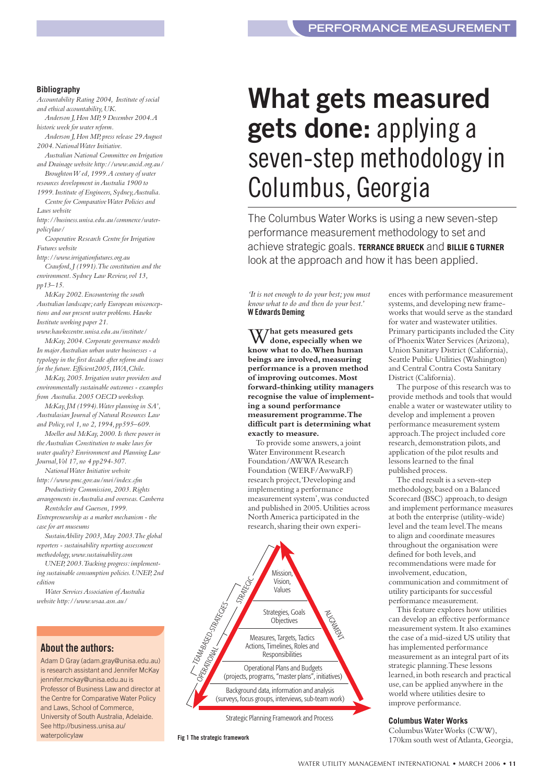#### **Bibliography**

*Accountability Rating 2004, Institute of social and ethical accountability,UK.*

*Anderson J,Hon MP,9 December 2004.A historic week for water reform.*

*Anderson J,Hon MP,press release 29 August 2004.National Water Initiative.*

*Australian National Committee on Irrigation and Drainage website http://www.ancid.org.au/*

*Broughton W ed,1999.A century of water resources development in Australia 1900 to 1999.Institute of Engineers,Sydney,Australia.*

*Centre for Comparative Water Policies and Laws website*

*http://business.unisa.edu.au/commerce/waterpolicylaw/*

*Cooperative Research Centre for Irrigation Futures website*

*http://www.irrigationfutures.org.au*

*Crawford,J (1991).The constitution and the environment.Sydney Law Review,vol 13, pp13–15.*

*McKay 2002.Encountering the south Australian landscape;early European misconceptions and our present water problems.Hawke Institute working paper 21.*

*www.hawkecentre.unisa.edu.au/institute/ McKay,2004.Corporate governance models In major Australian urban water businesses - a typology in the first decade after reform and issues for the future.Efficient2005,IWA,Chile.*

*McKay,2005.Irrigation water providers and environmentally sustainable outcomes - examples from Australia.2005 OECD workshop.*

*McKay,JM (1994).Water planning in SA', Australasian Journal of Natural Resources Law and Policy,vol 1,no 2,1994,pp595–609.*

*Moeller and McKay,2000.Is there power in the Australian Constitution to make laws for water quality? Environment and Planning Law Journal,Vol 17,no 4 pp294-307.*

*National Water Initiative website http://www.pmc.gov.au/nwi/index.cfm*

*Productivity Commission,2003.Rights arrangements in Australia and overseas.Canberra Rentshcler and Guersen,1999.*

*Entrepreneurship as a market mechanism - the case for art museums* 

*SustainAbility 2003,May 2003.The global reporters - sustainability reporting assessment methodology,www.sustainability.com*

*UNEP,2003.Tracking progress:implementing sustainable consumption policies.UNEP,2nd edition*

*Water Services Association of Australia website http://www.wsaa.asn.au/*

#### **About the authors:**

Adam D Gray (adam.gray@unisa.edu.au) is research assistant and Jennifer McKay jennifer.mckay@unisa.edu.au is Professor of Business Law and director at the Centre for Comparative Water Policy and Laws, School of Commerce, University of South Australia, Adelaide. See http://business.unisa.au/ waterpolicylaw

# **What gets measured gets done:** applying a seven-step methodology in Columbus, Georgia

The Columbus Water Works is using a new seven-step performance measurement methodology to set and achieve strategic goals. **TERRANCE BRUECK** and **BILLIE G TURNER** look at the approach and how it has been applied.

> ences with performance measurement systems, and developing new frameworks that would serve as the standard for water and wastewater utilities. Primary participants included the City of Phoenix Water Services (Arizona), Union Sanitary District (California), Seattle Public Utilities (Washington) and Central Contra Costa Sanitary

The purpose of this research was to provide methods and tools that would enable a water or wastewater utility to develop and implement a proven performance measurement system approach.The project included core research,demonstration pilots,and application of the pilot results and lessons learned to the final published process.

The end result is a seven-step methodology,based on a Balanced Scorecard (BSC) approach, to design and implement performance measures at both the enterprise (utility-wide) level and the team level.The means to align and coordinate measures throughout the organisation were defined for both levels,and recommendations were made for involvement, education,

communication and commitment of utility participants for successful performance measurement.

This feature explores how utilities can develop an effective performance measurement system.It also examines the case of a mid-sized US utility that has implemented performance measurement as an integral part of its strategic planning.These lessons learned,in both research and practical use, can be applied anywhere in the world where utilities desire to improve performance.

District (California).

*'It is not enough to do your best;you must know what to do and then do your best.'* **W Edwards Deming**

W**hat gets measured gets done, especially when we know what to do.When human beings are involved,measuring performance is a proven method of improving outcomes. Most forward-thinking utility managers recognise the value of implementing a sound performance measurement programme.The difficult part is determining what exactly to measure.**

To provide some answers,a joint Water Environment R esearch Foundation/AWWA Research Foundation (WERF/AwwaRF) research project,'Developing and implementing a performance measurement system',was conducted and published in 2005.Utilities across North America participated in the research, sharing their own experi-



Strategic Planning Framework and Process

**Fig 1 The strategic framework**

#### **Columbus Water Works** Columbus Water Works (CWW),

170km south west of Atlanta,Georgia,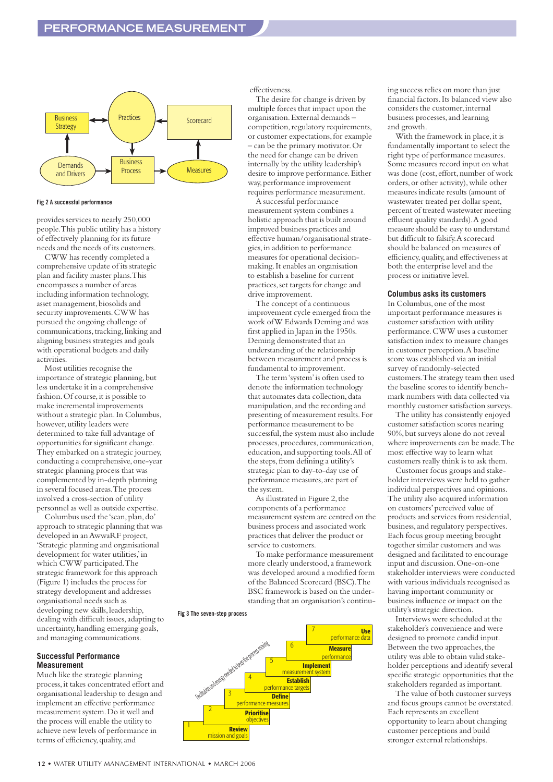

#### **Fig 2 A successful performance**

provides services to nearly 250,000 people.This public utility has a history of effectively planning for its future needs and the needs of its customers.

CWW has recently completed a comprehensive update of its strategic plan and facility master plans.This encompasses a number of areas including information technology, asset management, biosolids and security improvements.CWW has pursued the ongoing challenge of communications, tracking, linking and aligning business strategies and goals with operational budgets and daily activities.

Most utilities recognise the importance of strategic planning, but less undertake it in a comprehensive fashion. Of course, it is possible to make incremental improvements without a strategic plan.In Columbus, however,utility leaders were determined to take full advantage of opportunities for significant change. They embarked on a strategic journey, conducting a comprehensive, one-year strategic planning process that was complemented by in-depth planning in several focused areas.The process involved a cross-section of utility personnel as well as outside expertise.

Columbus used the 'scan,plan,do' approach to strategic planning that was developed in an AwwaRF project, 'Strategic planning and organisational development for water utilities,'in which CWW participated.The strategic framework for this approach (Figure 1) includes the process for strategy development and addresses organisational needs such as developing new skills,leadership, dealing with difficult issues, adapting to uncertainty, handling emerging goals, and managing communications.

#### **Successful Performance Measurement**

Much like the strategic planning process,it takes concentrated effort and organisational leadership to design and implement an effective performance measurement system.Do it well and the process will enable the utility to achieve new levels of performance in terms of efficiency,quality,and

effectiveness

The desire for change is driven by multiple forces that impact upon the organisation.External demands – competition, regulatory requirements, or customer expectations,for example – can be the primary motivator.Or the need for change can be driven internally by the utility leadership's desire to improve performance. Either way,performance improvement requires performance measurement.

A successful performance measurement system combines a holistic approach that is built around improved business practices and effective human/organisational strategies,in addition to performance measures for operational decisionmaking.It enables an organisation to establish a baseline for current practices,set targets for change and drive improvement.

The concept of a continuous improvement cycle emerged from the work of W Edwards Deming and was first applied in Japan in the 1950s. Deming demonstrated that an understanding of the relationship between measurement and process is fundamental to improvement.

The term 'system'is often used to denote the information technology that automates data collection, data manipulation,and the recording and presenting of measurement results.For performance measurement to be successful, the system must also include processes, procedures, communication, education,and supporting tools.All of the steps, from defining a utility's strategic plan to day-to-day use of performance measures, are part of the system.

As illustrated in Figure 2, the components of a performance measurement system are centred on the business process and associated work practices that deliver the product or service to customers.

To make performance measurement more clearly understood,a framework was developed around a modified form of the Balanced Scorecard (BSC).The BSC framework is based on the understanding that an organisation's continu-

#### **Fig 3 The seven-step process**



ing success relies on more than just financial factors.Its balanced view also considers the customer, internal business processes,and learning and growth.

With the framework in place, it is fundamentally important to select the right type of performance measures. Some measures record input on what was done (cost, effort, number of work orders,or other activity),while other measures indicate results (amount of wastewater treated per dollar spent, percent of treated wastewater meeting effluent quality standards).A good measure should be easy to understand but difficult to falsify.A scorecard should be balanced on measures of efficiency,quality,and effectiveness at both the enterprise level and the process or initiative level.

#### **Columbus asks its customers**

In Columbus, one of the most important performance measures is customer satisfaction with utility performance.CWW uses a customer satisfaction index to measure changes in customer perception.A baseline score was established via an initial survey of randomly-selected customers.The strategy team then used the baseline scores to identify benchmark numbers with data collected via monthly customer satisfaction surveys.

The utility has consistently enjoyed customer satisfaction scores nearing 90%,but surveys alone do not reveal where improvements can be made.The most effective way to learn what customers really think is to ask them.

Customer focus groups and stakeholder interviews were held to gather individual perspectives and opinions. The utility also acquired information on customers'perceived value of products and services from residential, business,and regulatory perspectives. Each focus group meeting brought together similar customers and was designed and facilitated to encourage input and discussion.One-on-one stakeholder interviews were conducted with various individuals recognised as having important community or business influence or impact on the utility's strategic direction.

Interviews were scheduled at the stakeholder's convenience and were designed to promote candid input. Between the two approaches, the utility was able to obtain valid stakeholder perceptions and identify several specific strategic opportunities that the stakeholders regarded as important.

The value of both customer surveys and focus groups cannot be overstated. Each represents an excellent opportunity to learn about changing customer perceptions and build stronger external relationships.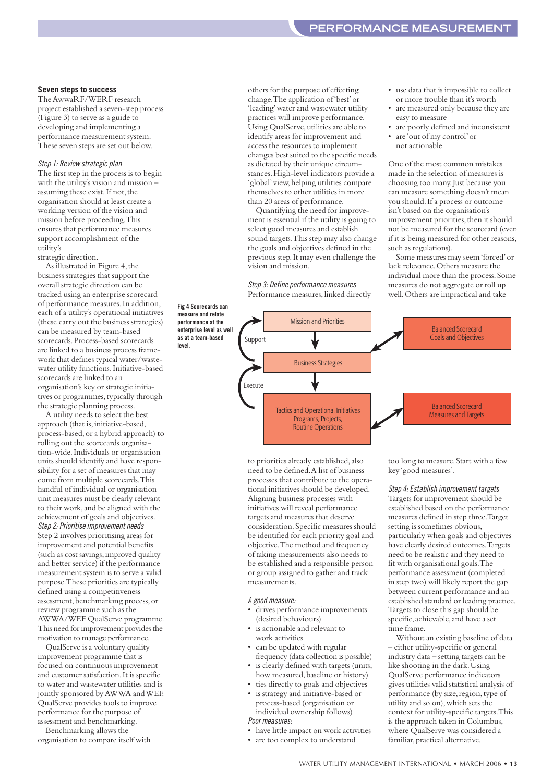#### **Seven steps to success**

The AwwaRF/WERF research project established a seven-step process (Figure 3) to serve as a guide to developing and implementing a performance measurement system. These seven steps are set out below.

#### *Step 1: Review strategic plan*

The first step in the process is to begin with the utility's vision and mission – assuming these exist. If not, the organisation should at least create a working version of the vision and mission before proceeding.This ensures that performance measures support accomplishment of the utility's strategic direction.

As illustrated in Figure 4,the business strategies that support the overall strategic direction can be tracked using an enterprise scorecard of performance measures.In addition, each of a utility's operational initiatives (these carry out the business strategies) can be measured by team-based scorecards.Process-based scorecards are linked to a business process framework that defines typical water/wastewater utility functions.Initiative-based scorecards are linked to an organisation's key or strategic initiatives or programmes, typically through the strategic planning process.

A utility needs to select the best approach (that is,initiative-based, process-based,or a hybrid approach) to rolling out the scorecards organisation-wide.Individuals or organisation units should identify and have responsibility for a set of measures that may come from multiple scorecards.This handful of individual or organisation unit measures must be clearly relevant to their work,and be aligned with the achievement of goals and objectives. *Step 2: Prioritise improvement needs* Step 2 involves prioritising areas for improvement and potential benefits (such as cost savings,improved quality and better service) if the performance measurement system is to serve a valid purpose.These priorities are typically defined using a competitiveness assessment, benchmarking process, or review programme such as the AWWA/WEF QualServe programme. This need for improvement provides the motivation to manage performance.

QualServe is a voluntary quality improvement programme that is focused on continuous improvement and customer satisfaction. It is specific to water and wastewater utilities and is jointly sponsored by AWWA and WEF. QualServe provides tools to improve performance for the purpose of assessment and benchmarking.

Benchmarking allows the organisation to compare itself with others for the purpose of effecting change.The application of 'best'or 'leading'water and wastewater utility practices will improve performance. Using QualServe,utilities are able to identify areas for improvement and access the resources to implement changes best suited to the specific needs as dictated by their unique circumstances.High-level indicators provide a 'global'view,helping utilities compare themselves to other utilities in more than 20 areas of performance.

Quantifying the need for improvement is essential if the utility is going to select good measures and establish sound targets.This step may also change the goals and objectives defined in the previous step.It may even challenge the vision and mission.

*Step 3: Define performance measures* Performance measures, linked directly

- use data that is impossible to collect or more trouble than it's worth
- are measured only because they are easy to measure
- are poorly defined and inconsistent • are 'out of my control'or not actionable

One of the most common mistakes made in the selection of measures is choosing too many. Just because you can measure something doesn't mean you should.If a process or outcome isn't based on the organisation's improvement priorities, then it should not be measured for the scorecard (even if it is being measured for other reasons, such as regulations).

Some measures may seem 'forced'or lack relevance.Others measure the individual more than the process.Some measures do not aggregate or roll up well.Others are impractical and take



to priorities already established, also need to be defined.A list of business processes that contribute to the operational initiatives should be developed. Aligning business processes with initiatives will reveal performance targets and measures that deserve consideration.Specific measures should be identified for each priority goal and objective.The method and frequency of taking measurements also needs to be established and a responsible person or group assigned to gather and track measurements.

#### *A good measure:*

- drives performance improvements (desired behaviours)
- is actionable and relevant to work activities
- can be updated with regular frequency (data collection is possible)
- is clearly defined with targets (units, how measured, baseline or history)
- ties directly to goals and objectives
- is strategy and initiative-based or process-based (organisation or individual ownership follows) *Poor measures:*
- have little impact on work activities
- are too complex to understand

too long to measure. Start with a few key 'good measures'.

*Step 4: Establish improvement targets*

Targets for improvement should be established based on the performance measures defined in step three.Target setting is sometimes obvious, particularly when goals and objectives have clearly desired outcomes.Targets need to be realistic and they need to fit with organisational goals.The performance assessment (completed in step two) will likely report the gap between current performance and an established standard or leading practice. Targets to close this gap should be specific,achievable,and have a set time frame.

Without an existing baseline of data – either utility-specific or general industry data – setting targets can be like shooting in the dark.Using QualServe performance indicators gives utilities valid statistical analysis of performance (by size, region, type of utility and so on),which sets the context for utility-specific targets.This is the approach taken in Columbus, where QualServe was considered a familiar, practical alternative.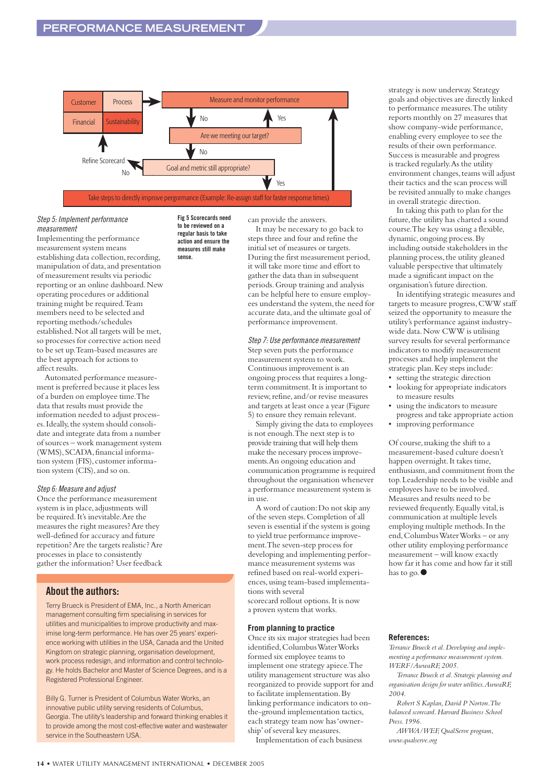

#### *Step 5: Implement performance measurement*

Implementing the performance measurement system means establishing data collection, recording, manipulation of data, and presentation of measurement results via periodic reporting or an online dashboard.New operating procedures or additional training might be required.Team members need to be selected and reporting methods/schedules established.Not all targets will be met, so processes for corrective action need to be set up.Team-based measures are the best approach for actions to affect results.

Automated performance measurement is preferred because it places less of a burden on employee time.The data that results must provide the information needed to adjust processes.Ideally,the system should consolidate and integrate data from a number of sources – work management system (WMS), SCADA, financial information system (FIS), customer information system (CIS),and so on.

#### *Step 6: Measure and adjust*

Once the performance measurement system is in place, adjustments will be required.It's inevitable.Are the measures the right measures? Are they well-defined for accuracy and future repetition? Are the targets realistic? Are processes in place to consistently gather the information? User feedback

#### **About the authors:**

Terry Brueck is President of EMA, Inc., a North American management consulting firm specialising in services for utilities and municipalities to improve productivity and maximise long-term performance. He has over 25 years' experience working with utilities in the USA, Canada and the United Kingdom on strategic planning, organisation development, work process redesign, and information and control technology. He holds Bachelor and Master of Science Degrees, and is a Registered Professional Engineer.

Billy G. Turner is President of Columbus Water Works, an innovative public utility serving residents of Columbus, Georgia. The utility's leadership and forward thinking enables it to provide among the most cost-effective water and wastewater service in the Southeastern USA.

**Fig 5 Scorecards need to be reviewed on a regular basis to take action and ensure the measures still make sense.**

can provide the answers.

It may be necessary to go back to steps three and four and refine the initial set of measures or targets. During the first measurement period, it will take more time and effort to gather the data than in subsequent periods.Group training and analysis can be helpful here to ensure employees understand the system, the need for accurate data,and the ultimate goal of performance improvement.

#### *Step 7: Use performance measurement*

Step seven puts the performance measurement system to work. Continuous improvement is an ongoing process that requires a longterm commitment.It is important to review, refine, and/or revise measures and targets at least once a year (Figure 5) to ensure they remain relevant.

Simply giving the data to employees is not enough.The next step is to provide training that will help them make the necessary process improvements.An ongoing education and communication programme is required throughout the organisation whenever a performance measurement system is in use.

A word of caution:Do not skip any of the seven steps.Completion of all seven is essential if the system is going to yield true performance improvement.The seven-step process for developing and implementing performance measurement systems was refined based on real-world experiences,using team-based implementations with several scorecard rollout options.It is now a proven system that works.

#### **From planning to practice**

Once its six major strategies had been identified,Columbus Water Works formed six employee teams to implement one strategy apiece.The utility management structure was also reorganized to provide support for and to facilitate implementation.By linking performance indicators to onthe-ground implementation tactics, each strategy team now has 'ownership'of several key measures.

Implementation of each business

strategy is now underway.Strategy goals and objectives are directly linked to performance measures.The utility reports monthly on 27 measures that show company-wide performance, enabling every employee to see the results of their own performance. Success is measurable and progress is tracked regularly.As the utility environment changes, teams will adjust their tactics and the scan process will be revisited annually to make changes in overall strategic direction.

In taking this path to plan for the future, the utility has charted a sound course.The key was using a flexible, dynamic, ongoing process. By including outside stakeholders in the planning process, the utility gleaned valuable perspective that ultimately made a significant impact on the organisation's future direction.

In identifying strategic measures and targets to measure progress,CWW staff seized the opportunity to measure the utility's performance against industrywide data. Now CWW is utilising survey results for several performance indicators to modify measurement processes and help implement the strategic plan.Key steps include:

- setting the strategic direction
- looking for appropriate indicators to measure results
- using the indicators to measure progress and take appropriate action
- improving performance

Of course,making the shift to a measurement-based culture doesn't happen overnight.It takes time, enthusiasm, and commitment from the top.Leadership needs to be visible and employees have to be involved. Measures and results need to be reviewed frequently.Equally vital,is communication at multiple levels employing multiple methods.In the end,Columbus Water Works – or any other utility employing performance measurement – will know exactly how far it has come and how far it still has to go. ●

#### **References:**

*Terrance Brueck et al.Developing and implementing a performance measurement system. WERF/AwwaRF,2005.*

*Terrance Brueck et al.Strategic planning and organisation design for water utilities.AwwaRF, 2004.*

*Robert S Kaplan,David P Norton.The balanced scorecard.Harvard Business School Press.1996.*

*AWWA/WEF,QualServe program, www.qualserve.org*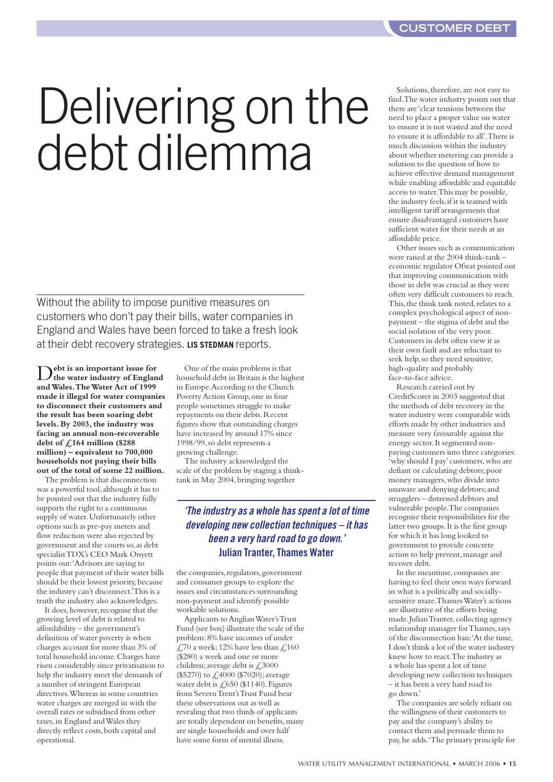# Delivering on the debt dilemma

Without the ability to impose punitive measures on customers who don't pay their bills, water companies in England and Wales have been forced to take a fresh look at their debt recovery strategies. **LIS STEDMAN** reports.

D**ebt is an important issue for the water industry of England and Wales.The Water Act of 1999 made it illegal for water companies to disconnect their customers and the result has been soaring debt levels.By 2003, the industry was facing an annual non-recoverable debt of £164 million (\$288 million) – equivalent to 700,000 households not paying their bills out of the total of some 22 million.**

The problem is that disconnection was a powerful tool,although it has to be pointed out that the industry fully supports the right to a continuous supply of water.Unfortunately other options such as pre-pay meters and flow reduction were also rejected by government and the courts so,as debt specialist TDX's CEO Mark Onyett points out:'Advisors are saying to people that payment of their water bills should be their lowest priority, because the industry can't disconnect.'This is a truth the industry also acknowledges.

It does, however, recognise that the growing level of debt is related to affordability – the government's definition of water poverty is when charges account for more than 3% of total household income.Charges have risen considerably since privatisation to help the industry meet the demands of a number of stringent European directives.Whereas in some countries water charges are merged in with the overall rates or subsidised from other taxes,in England and Wales they directly reflect costs, both capital and operational.

One of the main problems is that household debt in Britain is the highest in Europe.According to the Church Poverty Action Group,one in four people sometimes struggle to make repayments on their debts.Recent figures show that outstanding charges have increased by around 17% since 1998/99,so debt represents a growing challenge.

The industry acknowledged the scale of the problem by staging a thinktank in May 2004,bringing together

#### *'The industry as a whole has spent a lot of time developing new collection techniques – it has been a very hard road to go down.'* **Julian Tranter, Thames Water**

the companies, regulators, government and consumer groups to explore the issues and circumstances surrounding non-payment and identify possible workable solutions.

Applicants to Anglian Water's Trust Fund (see box) illustrate the scale of the problem:8% have incomes of under £70 a week; 12% have less than £,160 (\$280) a week and one or more children; average debt is £3000 (\$5270) to £4000 (\$7020);average water debt is  $\zeta$ , 650 (\$1140). Figures from Severn Trent's Trust Fund bear these observations out as well as revealing that two thirds of applicants are totally dependent on benefits,many are single households and over half have some form of mental illness.

Solutions, therefore, are not easy to find.The water industry points out that there are 'clear tensions between the need to place a proper value on water to ensure it is not wasted and the need to ensure it is affordable to all'.There is much discussion within the industry about whether metering can provide a solution to the question of how to achieve effective demand management while enabling affordable and equitable access to water.This may be possible, the industry feels,if it is teamed with intelligent tariff arrangements that ensure disadvantaged customers have sufficient water for their needs at an affordable price.

Other issues such as communication were raised at the 2004 think-tank – economic regulator Ofwat pointed out that improving communication with those in debt was crucial as they were often very difficult customers to reach. This, the think tank noted, relates to a complex psychological aspect of nonpayment – the stigma of debt and the social isolation of the very poor. Customers in debt often view it as their own fault and are reluctant to seek help,so they need sensitive, high-quality and probably face-to-face advice.

Research carried out by CreditScorer in 2003 suggested that the methods of debt recovery in the water industry were comparable with efforts made by other industries and measure very favourably against the energy sector.It segmented nonpaying customers into three categories: 'why should I pay'customers,who are defiant or calculating debtors;poor money managers,who divide into unaware and denying debtors;and strugglers – distressed debtors and vulnerable people.The companies recognise their responsibilities for the latter two groups.It is the first group for which it has long looked to government to provide concrete action to help prevent, manage and recover debt.

In the meantime, companies are having to feel their own ways forward in what is a politically and sociallysensitive maze.Thames Water's actions are illustrative of the efforts being made. Julian Tranter, collecting agency relationship manager for Thames, says of the disconnection ban:'At the time, I don't think a lot of the water industry knew how to react.The industry as a whole has spent a lot of time developing new collection techniques – it has been a very hard road to go down.'

The companies are solely reliant on the willingness of their customers to pay and the company's ability to contact them and persuade them to pay,he adds.'The primary principle for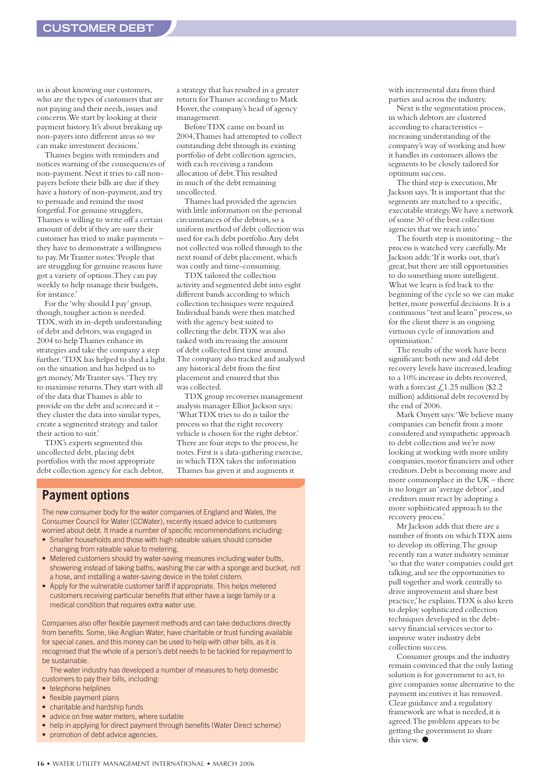us is about knowing our customers, who are the types of customers that are not paying and their needs,issues and concerns.We start by looking at their payment history.It's about breaking up non-payers into different areas so we can make investment decisions.'

Thames begins with reminders and notices warning of the consequences of non-payment.Next it tries to call nonpayers before their bills are due if they have a history of non-payment, and try to persuade and remind the most forgetful.For genuine strugglers, Thames is willing to write off a certain amount of debt if they are sure their customer has tried to make payments – they have to demonstrate a willingness to pay.Mr Tranter notes:'People that are struggling for genuine reasons have got a variety of options.They can pay weekly to help manage their budgets, for instance.'

For the 'why should I pay'group, though, tougher action is needed. TDX,with its in-depth understanding of debt and debtors, was engaged in 2004 to help Thames enhance its strategies and take the company a step further.'TDX has helped to shed a light on the situation and has helped us to get money,'Mr Tranter says.'They try to maximise returns.They start with all of the data that Thames is able to provide on the debt and scorecard it – they cluster the data into similar types, create a segmented strategy and tailor their action to suit.'

TDX's experts segmented this uncollected debt, placing debt portfolios with the most appropriate debt collection agency for each debtor, a strategy that has resulted in a greater return for Thames according to Mark Hover, the company's head of agency management.

Before TDX came on board in 2004,Thames had attempted to collect outstanding debt through its existing portfolio of debt collection agencies, with each receiving a random allocation of debt.This resulted in much of the debt remaining uncollected.

Thames had provided the agencies with little information on the personal circumstances of the debtors,so a uniform method of debt collection was used for each debt portfolio.Any debt not collected was rolled through to the next round of debt placement,which was costly and time-consuming.

TDX tailored the collection activity and segmented debt into eight different bands according to which collection techniques were required. Individual bands were then matched with the agency best suited to collecting the debt.TDX was also tasked with increasing the amount of debt collected first time around. The company also tracked and analysed any historical debt from the first placement and ensured that this was collected.

TDX group recoveries management analysis manager Elliot Jackson says: 'What TDX tries to do is tailor the process so that the right recovery vehicle is chosen for the right debtor.' There are four steps to the process, he notes.First is a data-gathering exercise, in which TDX takes the information Thames has given it and augments it

#### **Payment options**

The new consumer body for the water companies of England and Wales, the Consumer Council for Water (CCWater), recently issued advice to customers worried about debt. It made a number of specific recommendations including:

- Smaller households and those with high rateable values should consider changing from rateable value to metering.
- Metered customers should try water-saving measures including water butts, showering instead of taking baths, washing the car with a sponge and bucket, not a hose, and installing a water-saving device in the toilet cistern.
- Apply for the vulnerable customer tariff if appropriate. This helps metered customers receiving particular benefits that either have a large family or a medical condition that requires extra water use.

Companies also offer flexible payment methods and can take deductions directly from benefits. Some, like Anglian Water, have charitable or trust funding available for special cases, and this money can be used to help with other bills, as it is recognised that the whole of a person's debt needs to be tackled for repayment to be sustainable.

The water industry has developed a number of measures to help domestic customers to pay their bills, including:

- telephone helplines
- flexible payment plans
- charitable and hardship funds
- advice on free water meters, where suitable
- help in applying for direct payment through benefits (Water Direct scheme)
- promotion of debt advice agencies.

with incremental data from third parties and across the industry.

Next is the segmentation process, in which debtors are clustered according to characteristics – increasing understanding of the company's way of working and how it handles its customers allows the segments to be closely tailored for optimum success.

The third step is execution,Mr Jackson says.'It is important that the segments are matched to a specific, executable strategy.We have a network of some 30 of the best collection agencies that we reach into.'

The fourth step is monitoring – the process is watched very carefully.Mr Jackson adds: 'If it works out, that's great,but there are still opportunities to do something more intelligent. What we learn is fed back to the beginning of the cycle so we can make better,more powerful decisions.It is a continuous "test and learn"process,so for the client there is an ongoing virtuous cycle of innovation and optimisation.'

The results of the work have been significant: both new and old debt recovery levels have increased,leading to a 10% increase in debts recovered, with a forecast  $\text{\textsterling}1.25$  million (\$2.2 million) additional debt recovered by the end of 2006.

Mark Onyett says:'We believe many companies can benefit from a more considered and sympathetic approach to debt collection and we're now looking at working with more utility companies, motor financiers and other creditors.Debt is becoming more and more commonplace in the UK – there is no longer an 'average debtor',and creditors must react by adopting a more sophisticated approach to the recovery process.'

Mr Jackson adds that there are a number of fronts on which TDX aims to develop its offering.The group recently ran a water industry seminar 'so that the water companies could get talking, and see the opportunities to pull together and work centrally to drive improvement and share best practice,'he explains.TDX is also keen to deploy sophisticated collection techniques developed in the debtsavvy financial services sector to improve water industry debt collection success.

Consumer groups and the industry remain convinced that the only lasting solution is for government to act, to give companies some alternative to the payment incentives it has removed. Clear guidance and a regulatory framework are what is needed,it is agreed.The problem appears to be getting the government to share this view. ●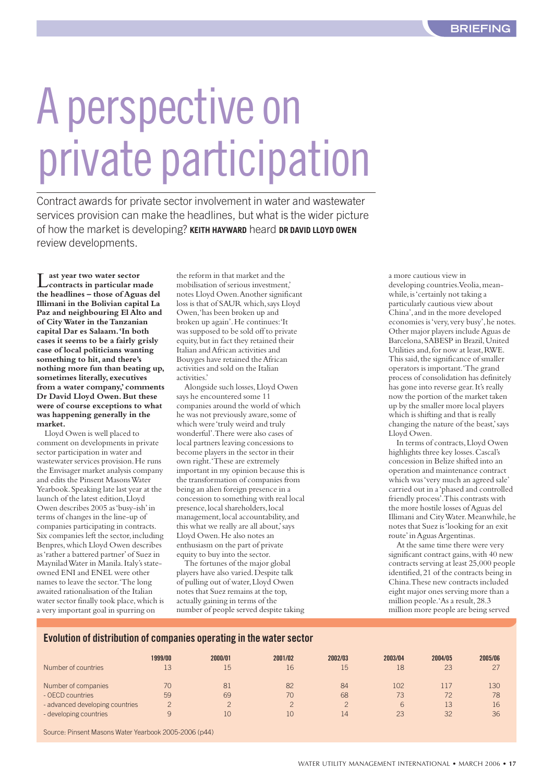# A perspective on private participation

Contract awards for private sector involvement in water and wastewater services provision can make the headlines, but what is the wider picture of how the market is developing? **KEITH HAYWARD** heard **DR DAVID LLOYD OWEN** review developments.

Less year two water sector<br>
contracts in particular made **the headlines – those of Aguas del Illimani in the Bolivian capital La Paz and neighbouring El Alto and of City Water in the Tanzanian capital Dar es Salaam.'In both cases it seems to be a fairly grisly case of local politicians wanting something to hit,and there's nothing more fun than beating up, sometimes literally,executives from a water company,'comments Dr David Lloyd Owen.But these were of course exceptions to what was happening generally in the market.**

Lloyd Owen is well placed to comment on developments in private sector participation in water and wastewater services provision. He runs the Envisager market analysis company and edits the Pinsent Masons Water Yearbook.Speaking late last year at the launch of the latest edition,Lloyd Owen describes 2005 as 'busy-ish'in terms of changes in the line-up of companies participating in contracts. Six companies left the sector, including Benpres,which Lloyd Owen describes as 'rather a battered partner'of Suez in Maynilad Water in Manila. Italy's stateowned ENI and ENEL were other names to leave the sector.'The long awaited rationalisation of the Italian water sector finally took place,which is a very important goal in spurring on

the reform in that market and the mobilisation of serious investment,' notes Lloyd Owen.Another significant loss is that of SAUR which,says Lloyd Owen,'has been broken up and broken up again'.He continues:'It was supposed to be sold off to private equity,but in fact they retained their Italian and African activities and Bouyges have retained the African activities and sold on the Italian activities.'

Alongside such losses,Lloyd Owen says he encountered some 11 companies around the world of which he was not previously aware, some of which were 'truly weird and truly wonderful'.There were also cases of local partners leaving concessions to become players in the sector in their own right.'These are extremely important in my opinion because this is the transformation of companies from being an alien foreign presence in a concession to something with real local presence, local shareholders, local management, local accountability, and this what we really are all about,'says Lloyd Owen. He also notes an enthusiasm on the part of private equity to buy into the sector.

The fortunes of the major global players have also varied.Despite talk of pulling out of water,Lloyd Owen notes that Suez remains at the top, actually gaining in terms of the number of people served despite taking

a more cautious view in developing countries. Veolia, meanwhile, is 'certainly not taking a particularly cautious view about China',and in the more developed economies is 'very, very busy', he notes. Other major players include Aguas de Barcelona, SABESP in Brazil, United Utilities and,for now at least,RWE. This said, the significance of smaller operators is important.'The grand process of consolidation has definitely has gone into reverse gear.It's really now the portion of the market taken up by the smaller more local players which is shifting and that is really changing the nature of the beast,'says Lloyd Owen.

In terms of contracts,Lloyd Owen highlights three key losses.Cascal's concession in Belize shifted into an operation and maintenance contract which was 'very much an agreed sale' carried out in a 'phased and controlled friendly process'.This contrasts with the more hostile losses of Aguas del Illimani and City Water. Meanwhile, he notes that Suez is 'looking for an exit route'in Aguas Argentinas.

At the same time there were very significant contract gains, with 40 new contracts serving at least 25,000 people identified,21 of the contracts being in China.These new contracts included eight major ones serving more than a million people.'As a result,28.3 million more people are being served

#### **Evolution of distribution of companies operating in the water sector**

| Number of countries                                       | 1999/00 | 2000/01 | 2001/02 | 2002/03      | 2003/04 | 2004/05  | 2005/06  |
|-----------------------------------------------------------|---------|---------|---------|--------------|---------|----------|----------|
|                                                           | 13      | 15      | 16      | 15           | 18      | 23       | 27       |
| Number of companies                                       | 70      | 81      | 82      | 84           | 102     | 117      | 130      |
| - OECD countries                                          | 59      | 69      | 70      | 68           | 73      | 72       | 78       |
| - advanced developing countries<br>- developing countries | 9       | 10      | 10      | $\cap$<br>14 | 6<br>23 | 13<br>32 | 16<br>36 |

Source: Pinsent Masons Water Yearbook 2005-2006 (p44)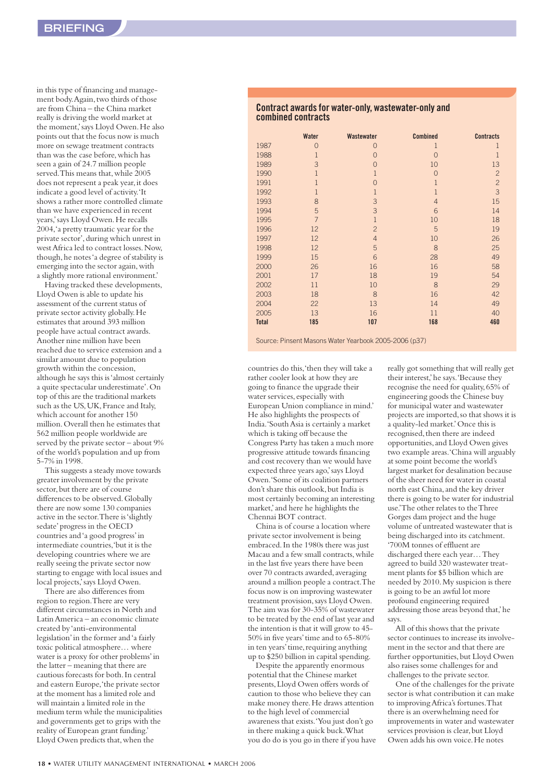in this type of financing and management body. Again, two thirds of those are from China – the China market really is driving the world market at the moment,'says Lloyd Owen.He also points out that the focus now is much more on sewage treatment contracts than was the case before,which has seen a gain of 24.7 million people served. This means that, while 2005 does not represent a peak year, it does indicate a good level of activity.'It shows a rather more controlled climate than we have experienced in recent years,'says Lloyd Owen.He recalls 2004,'a pretty traumatic year for the private sector',during which unrest in west Africa led to contract losses.Now, though,he notes 'a degree of stability is emerging into the sector again,with a slightly more rational environment.'

Having tracked these developments, Lloyd Owen is able to update his assessment of the current status of private sector activity globally.He estimates that around 393 million people have actual contract awards. Another nine million have been reached due to service extension and a similar amount due to population growth within the concession, although he says this is 'almost certainly a quite spectacular underestimate'.On top of this are the traditional markets such as the US, UK, France and Italy, which account for another 150 million.Overall then he estimates that 562 million people worldwide are served by the private sector – about 9% of the world's population and up from 5-7% in 1998.

This suggests a steady move towards greater involvement by the private sector, but there are of course differences to be observed. Globally there are now some 130 companies active in the sector.There is 'slightly sedate'progress in the OECD countries and 'a good progress'in intermediate countries,'but it is the developing countries where we are really seeing the private sector now starting to engage with local issues and local projects, says Lloyd Owen.

There are also differences from region to region.There are very different circumstances in North and Latin America – an economic climate created by 'anti-environmental legislation'in the former and 'a fairly toxic political atmosphere… where water is a proxy for other problems'in the latter – meaning that there are cautious forecasts for both.In central and eastern Europe,'the private sector at the moment has a limited role and will maintain a limited role in the medium term while the municipalities and governments get to grips with the reality of European grant funding.' Lloyd Owen predicts that,when the

#### **Contract awards for water-only, wastewater-only and combined contracts**

|              | Water          | Wastewater     | <b>Combined</b> | <b>Contracts</b> |
|--------------|----------------|----------------|-----------------|------------------|
| 1987         | $\overline{0}$ | 0              | 1               | 1                |
| 1988         | $\mathbf{1}$   | $\overline{0}$ | $\Omega$        | 1                |
| 1989         | 3              | $\overline{0}$ | 10              | 13               |
| 1990         | $\mathbf{1}$   | $\mathbf{1}$   | $\Omega$        | $\overline{c}$   |
| 1991         | $\mathbf{1}$   | $\overline{0}$ | $\mathbf{1}$    | $\overline{c}$   |
| 1992         | $\mathbf{1}$   | $\mathbf{1}$   | $\overline{1}$  | $\overline{3}$   |
| 1993         | 8              | 3              | $\overline{4}$  | 15               |
| 1994         | 5              | 3              | 6               | 14               |
| 1995         | $\overline{7}$ | $\overline{1}$ | 10              | 18               |
| 1996         | 12             | $\overline{c}$ | 5               | 19               |
| 1997         | 12             | $\overline{4}$ | 10              | 26               |
| 1998         | 12             | 5              | 8               | 25               |
| 1999         | 15             | 6              | 28              | 49               |
| 2000         | 26             | 16             | 16              | 58               |
| 2001         | 17             | 18             | 19              | 54               |
| 2002         | 11             | 10             | 8               | 29               |
| 2003         | 18             | 8              | 16              | 42               |
| 2004         | 22             | 13             | 14              | 49               |
| 2005         | 13             | 16             | 11              | 40               |
| <b>Total</b> | 185            | 107            | 168             | 460              |

Source: Pinsent Masons Water Yearbook 2005-2006 (p37)

countries do this,'then they will take a rather cooler look at how they are going to finance the upgrade their water services, especially with European Union compliance in mind.' He also highlights the prospects of India.'South Asia is certainly a market which is taking off because the Congress Party has taken a much more progressive attitude towards financing and cost recovery than we would have expected three years ago,'says Lloyd Owen.'Some of its coalition partners don't share this outlook, but India is most certainly becoming an interesting market,'and here he highlights the Chennai BOT contract.

China is of course a location where private sector involvement is being embraced.In the 1980s there was just Macau and a few small contracts,while in the last five years there have been over 70 contracts awarded, averaging around a million people a contract.The focus now is on improving wastewater treatment provision,says Lloyd Owen. The aim was for 30-35% of wastewater to be treated by the end of last year and the intention is that it will grow to 45- 50% in five years'time and to 65-80% in ten years' time, requiring anything up to \$250 billion in capital spending.

Despite the apparently enormous potential that the Chinese market presents,Lloyd Owen offers words of caution to those who believe they can make money there.He draws attention to the high level of commercial awareness that exists.'You just don't go in there making a quick buck.What you do do is you go in there if you have really got something that will really get their interest,'he says.'Because they recognise the need for quality,65% of engineering goods the Chinese buy for municipal water and wastewater projects are imported,so that shows it is a quality-led market.'Once this is recognised, then there are indeed opportunities,and Lloyd Owen gives two example areas.'China will arguably at some point become the world's largest market for desalination because of the sheer need for water in coastal north east China, and the key driver there is going to be water for industrial use.'The other relates to the Three Gorges dam project and the huge volume of untreated wastewater that is being discharged into its catchment. '700M tonnes of effluent are discharged there each year… They agreed to build 320 wastewater treatment plants for \$5 billion which are needed by 2010.My suspicion is there is going to be an awful lot more profound engineering required addressing those areas beyond that,'he says.

All of this shows that the private sector continues to increase its involvement in the sector and that there are further opportunities, but Lloyd Owen also raises some challenges for and challenges to the private sector.

One of the challenges for the private sector is what contribution it can make to improving Africa's fortunes.That there is an overwhelming need for improvements in water and wastewater services provision is clear, but Lloyd Owen adds his own voice.He notes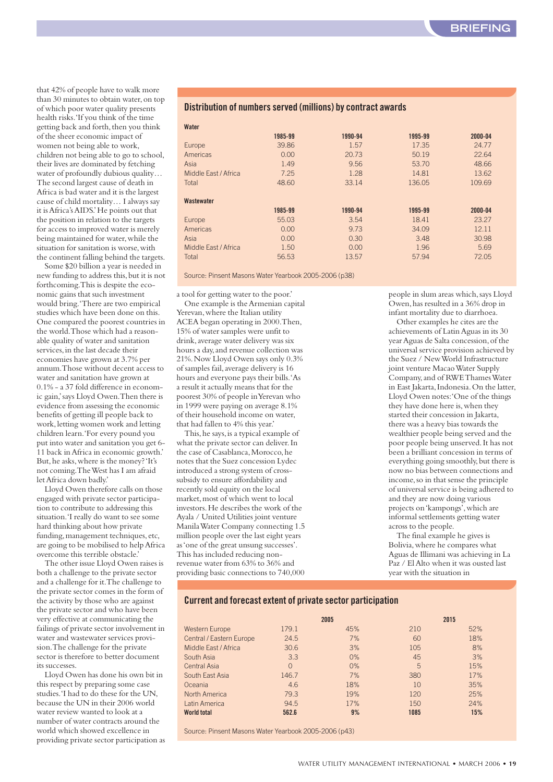that 42% of people have to walk more than 30 minutes to obtain water, on top of which poor water quality presents health risks.'If you think of the time getting back and forth, then you think of the sheer economic impact of women not being able to work, children not being able to go to school, their lives are dominated by fetching water of profoundly dubious quality… The second largest cause of death in Africa is bad water and it is the largest cause of child mortality… I always say it is Africa's AIDS.'He points out that the position in relation to the targets for access to improved water is merely being maintained for water,while the situation for sanitation is worse,with the continent falling behind the targets.

Some \$20 billion a year is needed in new funding to address this, but it is not forthcoming.This is despite the economic gains that such investment would bring.'There are two empirical studies which have been done on this. One compared the poorest countries in the world.Those which had a reasonable quality of water and sanitation services, in the last decade their economies have grown at 3.7% per annum.Those without decent access to water and sanitation have grown at 0.1% - a 37 fold difference in economic gain,'says Lloyd Owen.Then there is evidence from assessing the economic benefits of getting ill people back to work,letting women work and letting children learn.'For every pound you put into water and sanitation you get 6- 11 back in Africa in economic growth.' But,he asks,where is the money? 'It's not coming.The West has I am afraid let Africa down badly.'

Lloyd Owen therefore calls on those engaged with private sector participation to contribute to addressing this situation.'I really do want to see some hard thinking about how private funding, management techniques, etc, are going to be mobilised to help Africa overcome this terrible obstacle.'

The other issue Lloyd Owen raises is both a challenge to the private sector and a challenge for it.The challenge to the private sector comes in the form of the activity by those who are against the private sector and who have been very effective at communicating the failings of private sector involvement in water and wastewater services provision.The challenge for the private sector is therefore to better document its successes.

Lloyd Owen has done his own bit in this respect by preparing some case studies.'I had to do these for the UN, because the UN in their 2006 world water review wanted to look at a number of water contracts around the world which showed excellence in providing private sector participation as

#### **Distribution of numbers served (millions) by contract awards**

| Water                |         |         |         |         |
|----------------------|---------|---------|---------|---------|
|                      | 1985-99 | 1990-94 | 1995-99 | 2000-04 |
| Europe               | 39.86   | 1.57    | 17.35   | 24.77   |
| Americas             | 0.00    | 20.73   | 50.19   | 22.64   |
| Asia                 | 1.49    | 9.56    | 53.70   | 48.66   |
| Middle Fast / Africa | 7.25    | 1.28    | 14.81   | 13.62   |
| Total                | 48.60   | 33.14   | 136.05  | 109.69  |
|                      |         |         |         |         |
| Wastewater           |         |         |         |         |
|                      | 1985-99 | 1990-94 | 1995-99 | 2000-04 |
| Europe               | 55.03   | 3.54    | 18.41   | 23.27   |
| Americas             | 0.00    | 9.73    | 34.09   | 12.11   |
| Asia                 | 0.00    | 0.30    | 3.48    | 30.98   |
| Middle Fast / Africa | 1.50    | 0.00    | 1.96    | 5.69    |
| Total                | 56.53   | 13.57   | 57.94   | 72.05   |
|                      |         |         |         |         |

Source: Pinsent Masons Water Yearbook 2005-2006 (p38)

a tool for getting water to the poor.' One example is the Armenian capital Yerevan, where the Italian utility ACEA began operating in 2000.Then, 15% of water samples were unfit to drink, average water delivery was six hours a day,and revenue collection was 21%.Now Lloyd Owen says only 0.3% of samples fail,average delivery is 16 hours and everyone pays their bills.'As a result it actually means that for the poorest 30% of people in Yerevan who in 1999 were paying on average 8.1% of their household income on water, that had fallen to 4% this year.'

This, he says, is a typical example of what the private sector can deliver. In the case of Casablanca, Morocco, he notes that the Suez concession Lydec introduced a strong system of crosssubsidy to ensure affordability and recently sold equity on the local market, most of which went to local investors.He describes the work of the Ayala / United Utilities joint venture Manila Water Company connecting 1.5 million people over the last eight years as 'one of the great unsung successes'. This has included reducing nonrevenue water from 63% to 36% and providing basic connections to 740,000 people in slum areas which,says Lloyd Owen,has resulted in a 36% drop in infant mortality due to diarrhoea.

Other examples he cites are the achievements of Latin Aguas in its 30 year Aguas de Salta concession, of the universal service provision achieved by the Suez / New World Infrastructure joint venture Macao Water Supply Company,and of RWE Thames Water in East Jakarta, Indonesia. On the latter, Lloyd Owen notes:'One of the things they have done here is,when they started their concession in Jakarta, there was a heavy bias towards the wealthier people being served and the poor people being unserved.It has not been a brilliant concession in terms of everything going smoothly, but there is now no bias between connections and income,so in that sense the principle of universal service is being adhered to and they are now doing various projects on 'kampongs',which are informal settlements getting water across to the people.

The final example he gives is Bolivia,where he compares what Aguas de Illimani was achieving in La Paz / El Alto when it was ousted last year with the situation in

#### **Current and forecast extent of private sector participation**

|                          | 2005     |       |      | 2015 |
|--------------------------|----------|-------|------|------|
| <b>Western Europe</b>    | 179.1    | 45%   | 210  | 52%  |
| Central / Eastern Europe | 24.5     | 7%    | 60   | 18%  |
| Middle East / Africa     | 30.6     | 3%    | 105  | 8%   |
| South Asia               | 3.3      | 0%    | 45   | 3%   |
| Central Asia             | $\Omega$ | $0\%$ | 5    | 15%  |
| South East Asia          | 146.7    | 7%    | 380  | 17%  |
| Oceania                  | 4.6      | 18%   | 10   | 35%  |
| North America            | 79.3     | 19%   | 120  | 25%  |
| Latin America            | 94.5     | 17%   | 150  | 24%  |
| <b>World total</b>       | 562.6    | 9%    | 1085 | 15%  |

Source: Pinsent Masons Water Yearbook 2005-2006 (p43)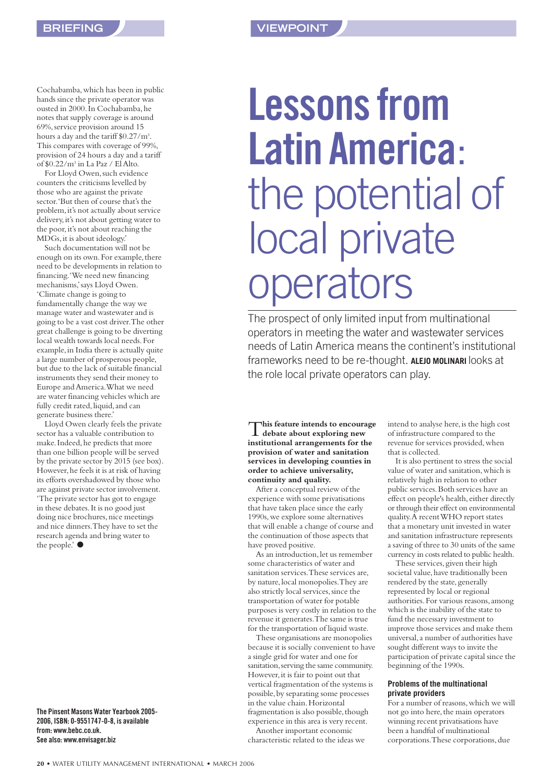Cochabamba,which has been in public hands since the private operator was ousted in 2000.In Cochabamba,he notes that supply coverage is around 69%,service provision around 15 hours a day and the tariff \$0.27/m3 . This compares with coverage of 99%, provision of 24 hours a day and a tariff of \$0.22/m3 in La Paz / El Alto.

For Lloyd Owen, such evidence counters the criticisms levelled by those who are against the private sector.'But then of course that's the problem, it's not actually about service delivery, it's not about getting water to the poor, it's not about reaching the MDGs,it is about ideology.'

Such documentation will not be enough on its own. For example, there need to be developments in relation to financing.'We need new financing mechanisms,'says Lloyd Owen. 'Climate change is going to fundamentally change the way we manage water and wastewater and is going to be a vast cost driver.The other great challenge is going to be diverting local wealth towards local needs.For example,in India there is actually quite a large number of prosperous people, but due to the lack of suitable financial instruments they send their money to Europe and America.What we need are water financing vehicles which are fully credit rated, liquid, and can generate business there.'

Lloyd Owen clearly feels the private sector has a valuable contribution to make.Indeed,he predicts that more than one billion people will be served by the private sector by 2015 (see box). However, he feels it is at risk of having its efforts overshadowed by those who are against private sector involvement. 'The private sector has got to engage in these debates.It is no good just doing nice brochures, nice meetings and nice dinners.They have to set the research agenda and bring water to the people. $\bullet$ 

**The Pinsent Masons Water Yearbook 2005- 2006, ISBN: 0-9551747-0-8, is available from: www.bebc.co.uk. See also: www.envisager.biz**

# **Lessons from Latin America**: the potential of local private operators

The prospect of only limited input from multinational operators in meeting the water and wastewater services needs of Latin America means the continent's institutional frameworks need to be re-thought. **ALEJO MOLINARI** looks at the role local private operators can play.

T**his feature intends to encourage debate about exploring new institutional arrangements for the provision of water and sanitation services in developing counties in order to achieve universality, continuity and quality.**

After a conceptual review of the experience with some privatisations that have taken place since the early 1990s,we explore some alternatives that will enable a change of course and the continuation of those aspects that have proved positive.

As an introduction, let us remember some characteristics of water and sanitation services.These services are, by nature, local monopolies. They are also strictly local services, since the transportation of water for potable purposes is very costly in relation to the revenue it generates.The same is true for the transportation of liquid waste.

These organisations are monopolies because it is socially convenient to have a single grid for water and one for sanitation, serving the same community. However, it is fair to point out that vertical fragmentation of the systems is possible,by separating some processes in the value chain. Horizontal fragmentation is also possible, though experience in this area is very recent. Another important economic

characteristic related to the ideas we

intend to analyse here, is the high cost of infrastructure compared to the revenue for services provided,when that is collected.

It is also pertinent to stress the social value of water and sanitation,which is relatively high in relation to other public services.Both services have an effect on people's health, either directly or through their effect on environmental quality.A recent WHO report states that a monetary unit invested in water and sanitation infrastructure represents a saving of three to 30 units of the same currency in costs related to public health.

These services, given their high societal value, have traditionally been rendered by the state, generally represented by local or regional authorities.For various reasons,among which is the inability of the state to fund the necessary investment to improve those services and make them universal,a number of authorities have sought different ways to invite the participation of private capital since the beginning of the 1990s.

#### **Problems of the multinational private providers**

For a number of reasons, which we will not go into here, the main operators winning recent privatisations have been a handful of multinational corporations.These corporations,due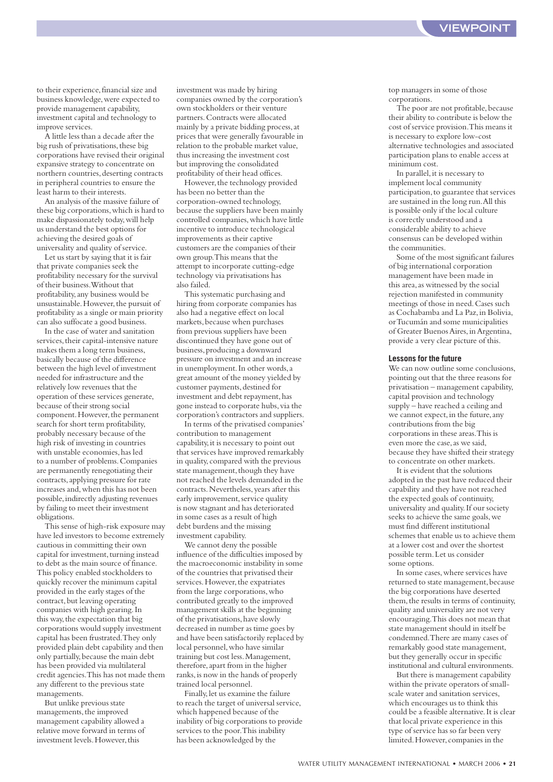to their experience, financial size and business knowledge,were expected to provide management capability, investment capital and technology to improve services.

A little less than a decade after the big rush of privatisations, these big corporations have revised their original expansive strategy to concentrate on northern countries, deserting contracts in peripheral countries to ensure the least harm to their interests.

An analysis of the massive failure of these big corporations,which is hard to make dispassionately today,will help us understand the best options for achieving the desired goals of universality and quality of service.

Let us start by saying that it is fair that private companies seek the profitability necessary for the survival of their business.Without that profitability,any business would be unsustainable. However, the pursuit of profitability as a single or main priority can also suffocate a good business.

In the case of water and sanitation services, their capital-intensive nature makes them a long term business, basically because of the difference between the high level of investment needed for infrastructure and the relatively low revenues that the operation of these services generate, because of their strong social component. However, the permanent search for short term profitability, probably necessary because of the high risk of investing in countries with unstable economies, has led to a number of problems.Companies are permanently renegotiating their contracts,applying pressure for rate increases and,when this has not been possible, indirectly adjusting revenues by failing to meet their investment obligations.

This sense of high-risk exposure may have led investors to become extremely cautious in committing their own capital for investment, turning instead to debt as the main source of finance. This policy enabled stockholders to quickly recover the minimum capital provided in the early stages of the contract, but leaving operating companies with high gearing.In this way, the expectation that big corporations would supply investment capital has been frustrated.They only provided plain debt capability and then only partially,because the main debt has been provided via multilateral credit agencies.This has not made them any different to the previous state managements.

But unlike previous state managements, the improved management capability allowed a relative move forward in terms of investment levels.However,this

investment was made by hiring companies owned by the corporation's own stockholders or their venture partners.Contracts were allocated mainly by a private bidding process,at prices that were generally favourable in relation to the probable market value, thus increasing the investment cost but improving the consolidated profitability of their head offices.

However, the technology provided has been no better than the corporation-owned technology, because the suppliers have been mainly controlled companies,which have little incentive to introduce technological improvements as their captive customers are the companies of their own group.This means that the attempt to incorporate cutting-edge technology via privatisations has also failed.

This systematic purchasing and hiring from corporate companies has also had a negative effect on local markets,because when purchases from previous suppliers have been discontinued they have gone out of business,producing a downward pressure on investment and an increase in unemployment.In other words,a great amount of the money yielded by customer payments, destined for investment and debt repayment, has gone instead to corporate hubs, via the corporation's contractors and suppliers. In terms of the privatised companies'

contribution to management capability,it is necessary to point out that services have improved remarkably in quality,compared with the previous state management, though they have not reached the levels demanded in the contracts.Nevertheless,years after this early improvement, service quality is now stagnant and has deteriorated in some cases as a result of high debt burdens and the missing investment capability.

We cannot deny the possible influence of the difficulties imposed by the macroeconomic instability in some of the countries that privatised their services. However, the expatriates from the large corporations,who contributed greatly to the improved management skills at the beginning of the privatisations,have slowly decreased in number as time goes by and have been satisfactorily replaced by local personnel,who have similar training but cost less.Management, therefore,apart from in the higher ranks,is now in the hands of properly trained local personnel.

Finally,let us examine the failure to reach the target of universal service, which happened because of the inability of big corporations to provide services to the poor.This inability has been acknowledged by the

top managers in some of those corporations.

The poor are not profitable, because their ability to contribute is below the cost of service provision.This means it is necessary to explore low-cost alternative technologies and associated participation plans to enable access at minimum cost.

In parallel, it is necessary to implement local community participation,to guarantee that services are sustained in the long run.All this is possible only if the local culture is correctly understood and a considerable ability to achieve consensus can be developed within the communities.

Some of the most significant failures of big international corporation management have been made in this area,as witnessed by the social rejection manifested in community meetings of those in need.Cases such as Cochabamba and La Paz,in Bolivia, or Tucumán and some municipalities of Greater Buenos Aires,in Argentina, provide a very clear picture of this.

#### **Lessons for the future**

We can now outline some conclusions. pointing out that the three reasons for privatisation – management capability, capital provision and technology supply – have reached a ceiling and we cannot expect, in the future, any contributions from the big corporations in these areas.This is even more the case, as we said, because they have shifted their strategy to concentrate on other markets.

It is evident that the solutions adopted in the past have reduced their capability and they have not reached the expected goals of continuity, universality and quality.If our society seeks to achieve the same goals,we must find different institutional schemes that enable us to achieve them at a lower cost and over the shortest possible term.Let us consider some options.

In some cases,where services have returned to state management, because the big corporations have deserted them, the results in terms of continuity, quality and universality are not very encouraging.This does not mean that state management should in itself be condemned.There are many cases of remarkably good state management, but they generally occur in specific institutional and cultural environments.

But there is management capability within the private operators of smallscale water and sanitation services, which encourages us to think this could be a feasible alternative.It is clear that local private experience in this type of service has so far been very limited. However, companies in the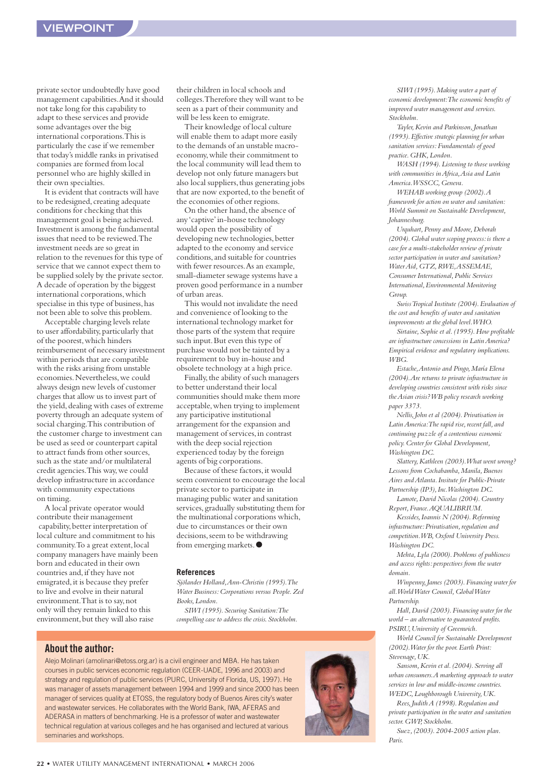private sector undoubtedly have good management capabilities.And it should not take long for this capability to adapt to these services and provide some advantages over the big international corporations.This is particularly the case if we remember that today's middle ranks in privatised companies are formed from local personnel who are highly skilled in their own specialties.

It is evident that contracts will have to be redesigned, creating adequate conditions for checking that this management goal is being achieved. Investment is among the fundamental issues that need to be reviewed.The investment needs are so great in relation to the revenues for this type of service that we cannot expect them to be supplied solely by the private sector. A decade of operation by the biggest international corporations,which specialise in this type of business, has not been able to solve this problem.

Acceptable charging levels relate to user affordability, particularly that of the poorest,which hinders reimbursement of necessary investment within periods that are compatible with the risks arising from unstable economies.Nevertheless,we could always design new levels of customer charges that allow us to invest part of the yield, dealing with cases of extreme poverty through an adequate system of social charging.This contribution of the customer charge to investment can be used as seed or counterpart capital to attract funds from other sources, such as the state and/or multilateral credit agencies.This way,we could develop infrastructure in accordance with community expectations on timing.

A local private operator would contribute their management capability, better interpretation of local culture and commitment to his community.To a great extent,local company managers have mainly been born and educated in their own countries and,if they have not emigrated,it is because they prefer to live and evolve in their natural environment.That is to say,not only will they remain linked to this environment, but they will also raise

their children in local schools and colleges.Therefore they will want to be seen as a part of their community and will be less keen to emigrate.

Their knowledge of local culture will enable them to adapt more easily to the demands of an unstable macroeconomy,while their commitment to the local community will lead them to develop not only future managers but also local suppliers, thus generating jobs that are now exported, to the benefit of the economies of other regions.

On the other hand, the absence of any 'captive'in-house technology would open the possibility of developing new technologies, better adapted to the economy and service conditions,and suitable for countries with fewer resources.As an example, small-diameter sewage systems have a proven good performance in a number of urban areas.

This would not invalidate the need and convenience of looking to the international technology market for those parts of the system that require such input. But even this type of purchase would not be tainted by a requirement to buy in-house and obsolete technology at a high price.

Finally, the ability of such managers to better understand their local communities should make them more acceptable,when trying to implement any participative institutional arrangement for the expansion and management of services, in contrast with the deep social rejection experienced today by the foreign agents of big corporations.

Because of these factors, it would seem convenient to encourage the local private sector to participate in managing public water and sanitation services, gradually substituting them for the multinational corporations which, due to circumstances or their own decisions, seem to be withdrawing from emerging markets.●

#### **References**

*Sjölander Holland,Ann-Christin (1995).The Water Business:Corporations versus People.Zed Books,London.*

*SIWI (1995).Securing Sanitation:The compelling case to address the crisis.Stockholm.*

#### **About the author:**

Alejo Molinari (amolinari@etoss.org.ar) is a civil engineer and MBA. He has taken courses in public services economic regulation (CEER-UADE, 1996 and 2003) and strategy and regulation of public services (PURC, University of Florida, US, 1997). He was manager of assets management between 1994 and 1999 and since 2000 has been manager of services quality at ETOSS, the regulatory body of Buenos Aires city's water and wastewater services. He collaborates with the World Bank, IWA, AFERAS and ADERASA in matters of benchmarking. He is a professor of water and wastewater technical regulation at various colleges and he has organised and lectured at various seminaries and workshops.



*SIWI (1995).Making water a part of economic development:The economic benefits of improved water management and services. Stockholm.*

*Tayler,Kevin and Parkinson,Jonathan (1993).Effective strategic planning for urban sanitation services:Fundamentals of good practice.GHK,London.*

*WASH (1994).Listening to those working with communities in Africa,Asia and Latin America.WSSCC,Geneva.*

*WEHAB working group (2002).A framework for action on water and sanitation: World Summit on Sustainable Development, Johannesburg.*

*Urquhart,Penny and Moore,Deborah (2004).Global water scoping process:is there a case for a multi-stakeholder review of private sector participation in water and sanitation? Water Aid,GTZ,RWE,ASSEMAE, Consumer International,Public Services International,Environmental Monitoring Group.*

*Swiss Tropical Institute (2004).Evaluation of the cost and benefits of water and sanitation improvements at the global level.WHO.*

Sirtaine, Sophie et al. (1995). How profitable *are infrastructure concessions in Latin America? Empirical evidence and regulatory implications. WBG.*

*Estache,Antonio and Pingo,María Elena (2004).Are returns to private infrastructure in developing countries consistent with risks since the Asian crisis? WB policy research working paper 3373.*

*Nellis,John et al (2004).Privatisation in* Latin America: The rapid rise, recent fall, and *continuing puzzle of a contentious economic policy.Center for Global Development, Washington DC.*

*Slattery,Kathleen (2003).What went wrong? Lessons from Cochabamba,Manila,Buenos Aires and Atlanta.Insitute for Public-Private Partnership (IP3),Inc.Washington DC.*

*Lamote,David Nicolas (2004).Country Report,France.AQUALIBRIUM.*

*Kessides,Ioannis N (2004).Reforming infrastructure:Privatisation,regulation and competition.WB,Oxford University Press. Washington DC.*

*Mehta,Lyla (2000).Problems of publicness and access rights:perspectives from the water domain.*

*Winpenny,James (2003).Financing water for all.World Water Council,Global Water Partnership.*

*Hall,David (2003).Financing water for the world – an alternative to guaranteed profits. PSIRU,University of Greenwich.*

*World Council for Sustainable Development (2002).Water for the poor.Earth Print: Stevenage,UK.*

*Sansom,Kevin et al.(2004).Serving all urban consumers.A marketing approach to water services in low and middle-income countries. WEDC,Loughborough University,UK.*

*Rees,Judith A (1998).Regulation and private participation in the water and sanitation sector.GWP,Stockholm.*

*Suez,(2003).2004-2005 action plan. Paris.*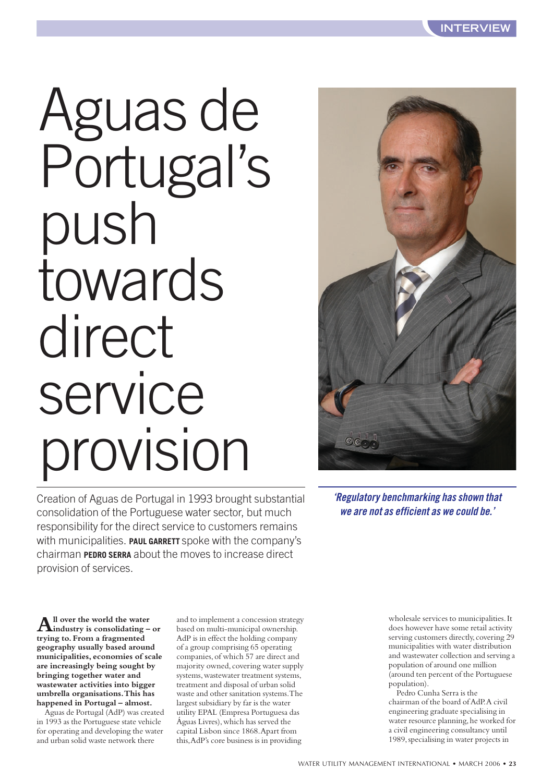# Aguas de Portugal's push towards direct service provision

Creation of Aguas de Portugal in 1993 brought substantial consolidation of the Portuguese water sector, but much responsibility for the direct service to customers remains with municipalities. **PAUL GARRETT** spoke with the company's chairman **PEDRO SERRA** about the moves to increase direct provision of services.



**All over the world the water industry is consolidating – or trying to.From a fragmented geography usually based around municipalities,economies of scale are increasingly being sought by bringing together water and wastewater activities into bigger umbrella organisations.This has happened in Portugal – almost.**

Aguas de Portugal (AdP) was created in 1993 as the Portuguese state vehicle for operating and developing the water and urban solid waste network there

and to implement a concession strategy based on multi-municipal ownership. AdP is in effect the holding company of a group comprising 65 operating companies,of which 57 are direct and majority owned, covering water supply systems, wastewater treatment systems, treatment and disposal of urban solid waste and other sanitation systems.The largest subsidiary by far is the water utility EPAL (Empresa Portuguesa das Águas Livres),which has served the capital Lisbon since 1868.Apart from this,AdP's core business is in providing



*'Regulatory benchmarking has shown that we are not as efficient as we could be.'*

> wholesale services to municipalities.It does however have some retail activity serving customers directly, covering 29 municipalities with water distribution and wastewater collection and serving a population of around one million (around ten percent of the Portuguese population).

Pedro Cunha Serra is the chairman of the board of AdP.A civil engineering graduate specialising in water resource planning, he worked for a civil engineering consultancy until 1989,specialising in water projects in